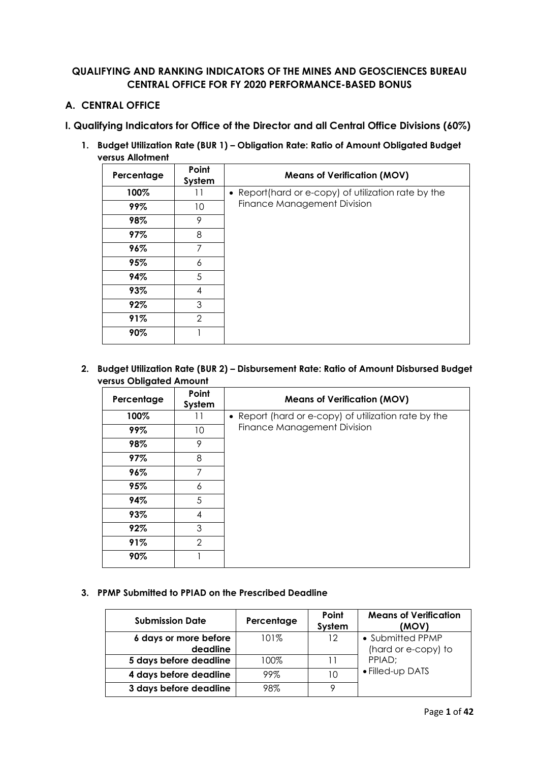## **QUALIFYING AND RANKING INDICATORS OF THE MINES AND GEOSCIENCES BUREAU CENTRAL OFFICE FOR FY 2020 PERFORMANCE-BASED BONUS**

## **A. CENTRAL OFFICE**

## **I. Qualifying Indicators for Office of the Director and all Central Office Divisions (60%)**

**1. Budget Utilization Rate (BUR 1) – Obligation Rate: Ratio of Amount Obligated Budget versus Allotment**

| Percentage | Point<br>System | <b>Means of Verification (MOV)</b>                  |
|------------|-----------------|-----------------------------------------------------|
| 100%       | 11              | • Report(hard or e-copy) of utilization rate by the |
| 99%        | 10              | Finance Management Division                         |
| 98%        | 9               |                                                     |
| 97%        | 8               |                                                     |
| 96%        | 7               |                                                     |
| 95%        | 6               |                                                     |
| 94%        | 5               |                                                     |
| 93%        | 4               |                                                     |
| 92%        | 3               |                                                     |
| 91%        | $\overline{2}$  |                                                     |
| 90%        |                 |                                                     |

**2. Budget Utilization Rate (BUR 2) – Disbursement Rate: Ratio of Amount Disbursed Budget versus Obligated Amount**

| Percentage | Point<br>System | <b>Means of Verification (MOV)</b>                   |
|------------|-----------------|------------------------------------------------------|
| 100%       | 11              | • Report (hard or e-copy) of utilization rate by the |
| 99%        | 10              | Finance Management Division                          |
| 98%        | 9               |                                                      |
| 97%        | 8               |                                                      |
| 96%        | 7               |                                                      |
| 95%        | 6               |                                                      |
| 94%        | 5               |                                                      |
| 93%        | 4               |                                                      |
| 92%        | 3               |                                                      |
| 91%        | 2               |                                                      |
| 90%        |                 |                                                      |

#### **3. PPMP Submitted to PPIAD on the Prescribed Deadline**

| <b>Submission Date</b> | Percentage | Point<br>System | <b>Means of Verification</b><br>(MOV) |
|------------------------|------------|-----------------|---------------------------------------|
| 6 days or more before  | 101%       | 12              | • Submitted PPMP                      |
| deadline               |            |                 | (hard or e-copy) to                   |
| 5 days before deadline | 100%       |                 | PPIAD:                                |
| 4 days before deadline | 99%        | 10              | • Filled-up DATS                      |
| 3 days before deadline | 98%        | Q               |                                       |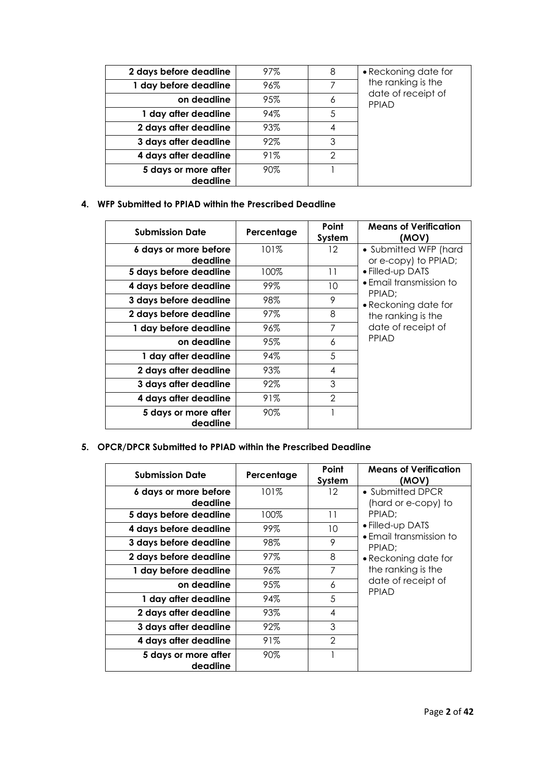| 8<br>• Reckoning date for<br>97%<br>2 days before deadline<br>the ranking is the<br>7<br>1 day before deadline<br>96%<br>date of receipt of<br>95%<br>on deadline<br>6<br>PPIAD<br>94%<br>5<br>1 day after deadline<br>93%<br>2 days after deadline<br>4<br>92%<br>3<br>3 days after deadline<br>91%<br>2<br>4 days after deadline<br>90%<br>5 days or more after<br>deadline |  |  |
|-------------------------------------------------------------------------------------------------------------------------------------------------------------------------------------------------------------------------------------------------------------------------------------------------------------------------------------------------------------------------------|--|--|
|                                                                                                                                                                                                                                                                                                                                                                               |  |  |
|                                                                                                                                                                                                                                                                                                                                                                               |  |  |
|                                                                                                                                                                                                                                                                                                                                                                               |  |  |
|                                                                                                                                                                                                                                                                                                                                                                               |  |  |
|                                                                                                                                                                                                                                                                                                                                                                               |  |  |
|                                                                                                                                                                                                                                                                                                                                                                               |  |  |
|                                                                                                                                                                                                                                                                                                                                                                               |  |  |
|                                                                                                                                                                                                                                                                                                                                                                               |  |  |
|                                                                                                                                                                                                                                                                                                                                                                               |  |  |

**4. WFP Submitted to PPIAD within the Prescribed Deadline**

| <b>Submission Date</b>            | Percentage | Point<br>System | <b>Means of Verification</b><br>(MOV)         |
|-----------------------------------|------------|-----------------|-----------------------------------------------|
| 6 days or more before<br>deadline | 101%       | 12              | • Submitted WFP (hard<br>or e-copy) to PPIAD; |
| 5 days before deadline            | 100%       | 11              | • Filled-up DATS                              |
| 4 days before deadline            | 99%        | 10              | • Email transmission to                       |
| 3 days before deadline            | 98%        | 9               | PPIAD:<br>• Reckoning date for                |
| 2 days before deadline            | 97%        | 8               | the ranking is the                            |
| 1 day before deadline             | 96%        | 7               | date of receipt of                            |
| on deadline                       | 95%        | 6               | <b>PPIAD</b>                                  |
| 1 day after deadline              | 94%        | 5               |                                               |
| 2 days after deadline             | 93%        | 4               |                                               |
| 3 days after deadline             | 92%        | 3               |                                               |
| 4 days after deadline             | 91%        | $\mathcal{P}$   |                                               |
| 5 days or more after<br>deadline  | 90%        |                 |                                               |

**5. OPCR/DPCR Submitted to PPIAD within the Prescribed Deadline**

| <b>Submission Date</b>            | Percentage | Point<br>System | <b>Means of Verification</b><br>(MOV)       |
|-----------------------------------|------------|-----------------|---------------------------------------------|
| 6 days or more before<br>deadline | 101%       | 12              | • Submitted DPCR<br>(hard or e-copy) to     |
| 5 days before deadline            | 100%       | 11              | PPIAD:                                      |
| 4 days before deadline            | 99%        | 10              | • Filled-up DATS<br>• Email transmission to |
| 3 days before deadline            | 98%        | 9               | PPIAD:                                      |
| 2 days before deadline            | 97%        | 8               | • Reckoning date for                        |
| 1 day before deadline             | 96%        | 7               | the ranking is the                          |
| on deadline                       | 95%        | 6               | date of receipt of<br>PPIAD                 |
| 1 day after deadline              | 94%        | 5               |                                             |
| 2 days after deadline             | 93%        | 4               |                                             |
| 3 days after deadline             | 92%        | 3               |                                             |
| 4 days after deadline             | 91%        | $\mathcal{P}$   |                                             |
| 5 days or more after<br>deadline  | 90%        | 1               |                                             |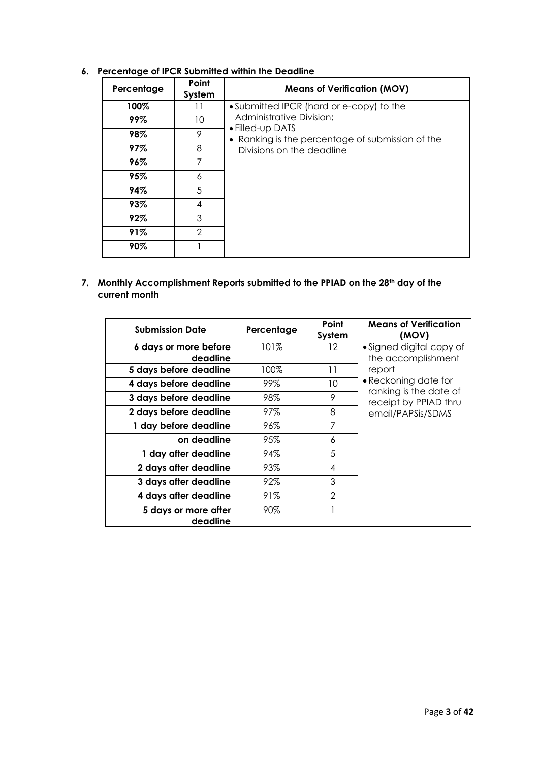|            | ≂               |                                                                      |  |  |  |
|------------|-----------------|----------------------------------------------------------------------|--|--|--|
| Percentage | Point<br>System | <b>Means of Verification (MOV)</b>                                   |  |  |  |
| 100%       | 11              | • Submitted IPCR (hard or e-copy) to the                             |  |  |  |
| 99%        | 10              | Administrative Division;                                             |  |  |  |
| 98%        | 9               | • Filled-up DATS<br>• Ranking is the percentage of submission of the |  |  |  |
| 97%        | 8               | Divisions on the deadline                                            |  |  |  |
| 96%        | 7               |                                                                      |  |  |  |
| 95%        | 6               |                                                                      |  |  |  |
| 94%        | 5               |                                                                      |  |  |  |
| 93%        | 4               |                                                                      |  |  |  |
| 92%        | 3               |                                                                      |  |  |  |
| 91%        | $\mathcal{P}$   |                                                                      |  |  |  |
| 90%        |                 |                                                                      |  |  |  |

## **6. Percentage of IPCR Submitted within the Deadline**

**7. Monthly Accomplishment Reports submitted to the PPIAD on the 28th day of the current month** 

| <b>Submission Date</b>            | Percentage | Point<br>System | <b>Means of Verification</b><br>(MOV)           |
|-----------------------------------|------------|-----------------|-------------------------------------------------|
| 6 days or more before<br>deadline | 101%       | 12              | • Signed digital copy of<br>the accomplishment  |
| 5 days before deadline            | 100%       | 11              | report                                          |
| 4 days before deadline            | 99%        | 10              | • Reckoning date for                            |
| 3 days before deadline            | 98%        | 9               | ranking is the date of<br>receipt by PPIAD thru |
| 2 days before deadline            | 97%        | 8               | email/PAPSis/SDMS                               |
| 1 day before deadline             | 96%        | 7               |                                                 |
| on deadline                       | 95%        | 6               |                                                 |
| 1 day after deadline              | 94%        | 5               |                                                 |
| 2 days after deadline             | 93%        | 4               |                                                 |
| 3 days after deadline             | 92%        | 3               |                                                 |
| 4 days after deadline             | 91%        | $\mathfrak{D}$  |                                                 |
| 5 days or more after<br>deadline  | 90%        |                 |                                                 |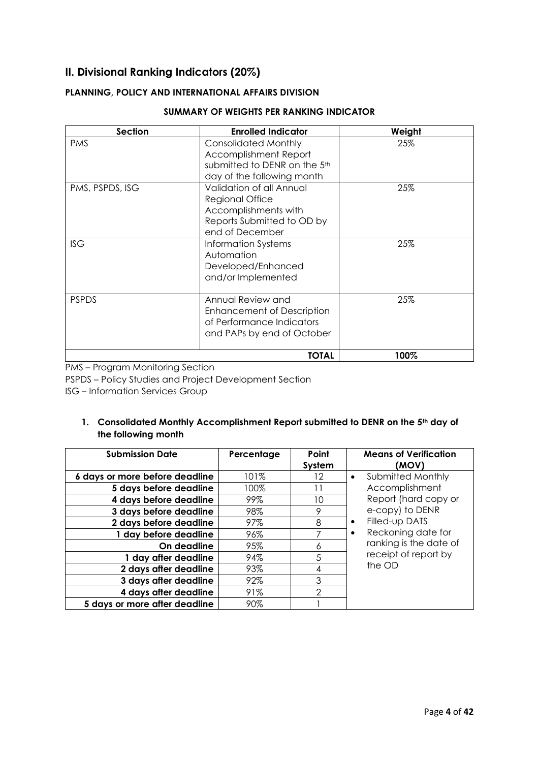# **II. Divisional Ranking Indicators (20%)**

## **PLANNING, POLICY AND INTERNATIONAL AFFAIRS DIVISION**

| <b>Section</b>  | <b>Enrolled Indicator</b>                                                                                                   | Weight |
|-----------------|-----------------------------------------------------------------------------------------------------------------------------|--------|
| <b>PMS</b>      | <b>Consolidated Monthly</b><br><b>Accomplishment Report</b>                                                                 | 25%    |
|                 | submitted to DENR on the 5 <sup>th</sup><br>day of the following month                                                      |        |
| PMS, PSPDS, ISG | Validation of all Annual<br><b>Regional Office</b><br>Accomplishments with<br>Reports Submitted to OD by<br>end of December | 25%    |
| <b>ISG</b>      | Information Systems<br>Automation<br>Developed/Enhanced<br>and/or Implemented                                               | 25%    |
| <b>PSPDS</b>    | Annual Review and<br><b>Enhancement of Description</b><br>of Performance Indicators<br>and PAPs by end of October           | 25%    |
|                 | <b>TOTAL</b>                                                                                                                | 100%   |

#### **SUMMARY OF WEIGHTS PER RANKING INDICATOR**

PMS – Program Monitoring Section

PSPDS – Policy Studies and Project Development Section

ISG – Information Services Group

## **1. Consolidated Monthly Accomplishment Report submitted to DENR on the 5th day of the following month**

| <b>Submission Date</b>         | Percentage | Point<br>System | <b>Means of Verification</b><br>(MOV) |
|--------------------------------|------------|-----------------|---------------------------------------|
| 6 days or more before deadline | 101%       | 12              | Submitted Monthly<br>$\bullet$        |
| 5 days before deadline         | 100%       |                 | Accomplishment                        |
| 4 days before deadline         | 99%        | 10              | Report (hard copy or                  |
| 3 days before deadline         | 98%        | 9               | e-copy) to DENR                       |
| 2 days before deadline         | 97%        | 8               | Filled-up DATS<br>$\bullet$           |
| 1 day before deadline          | 96%        | 7               | Reckoning date for<br>$\bullet$       |
| On deadline                    | 95%        | 6               | ranking is the date of                |
| 1 day after deadline           | 94%        | 5               | receipt of report by                  |
| 2 days after deadline          | 93%        | 4               | the OD                                |
| 3 days after deadline          | 92%        | 3               |                                       |
| 4 days after deadline          | 91%        | $\mathfrak{D}$  |                                       |
| 5 days or more after deadline  | 90%        |                 |                                       |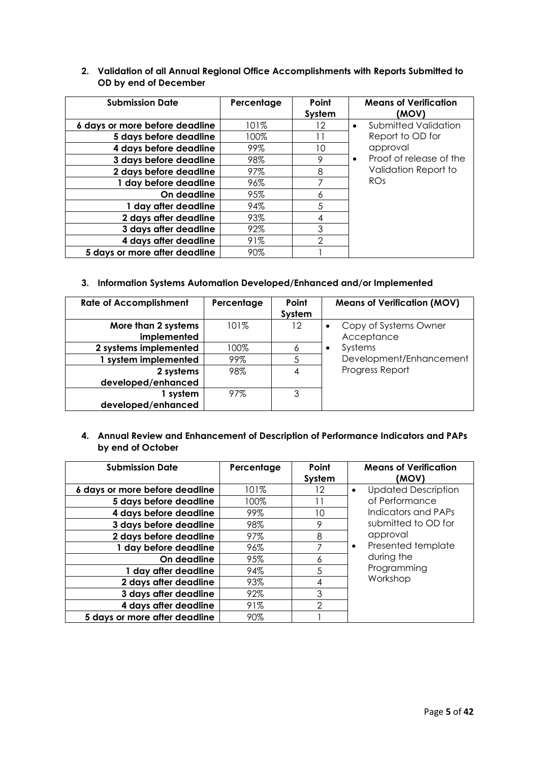| <b>Submission Date</b>         | Percentage | Point<br>System | <b>Means of Verification</b><br>(MOV) |
|--------------------------------|------------|-----------------|---------------------------------------|
| 6 days or more before deadline | 101%       | 12              | Submitted Validation<br>$\bullet$     |
| 5 days before deadline         | 100%       |                 | Report to OD for                      |
| 4 days before deadline         | 99%        | 10              | approval                              |
| 3 days before deadline         | 98%        | 9               | Proof of release of the<br>$\bullet$  |
| 2 days before deadline         | 97%        | 8               | Validation Report to                  |
| 1 day before deadline          | 96%        |                 | RO <sub>S</sub>                       |
| On deadline                    | 95%        | 6               |                                       |
| 1 day after deadline           | 94%        | 5               |                                       |
| 2 days after deadline          | 93%        | 4               |                                       |
| 3 days after deadline          | 92%        | 3               |                                       |
| 4 days after deadline          | 91%        | 2               |                                       |
| 5 days or more after deadline  | 90%        |                 |                                       |

## **2. Validation of all Annual Regional Office Accomplishments with Reports Submitted to OD by end of December**

### **3. Information Systems Automation Developed/Enhanced and/or Implemented**

| <b>Rate of Accomplishment</b> | Percentage | Point  | <b>Means of Verification (MOV)</b> |
|-------------------------------|------------|--------|------------------------------------|
|                               |            | System |                                    |
| More than 2 systems           | $101\%$    | 12     | Copy of Systems Owner              |
| implemented                   |            |        | Acceptance                         |
| 2 systems implemented         | 100%       | 6      | Systems<br>$\bullet$               |
| 1 system implemented          | 99%        | 5      | Development/Enhancement            |
| 2 systems                     | 98%        | 4      | Progress Report                    |
| developed/enhanced            |            |        |                                    |
| 1 system                      | 97%        | 3      |                                    |
| developed/enhanced            |            |        |                                    |

## **4. Annual Review and Enhancement of Description of Performance Indicators and PAPs by end of October**

| <b>Submission Date</b>         | Percentage | Point<br>System | <b>Means of Verification</b><br>(MOV) |
|--------------------------------|------------|-----------------|---------------------------------------|
| 6 days or more before deadline | 101%       | 12              | <b>Updated Description</b>            |
| 5 days before deadline         | 100%       |                 | of Performance                        |
| 4 days before deadline         | 99%        | 10              | Indicators and PAPs                   |
| 3 days before deadline         | 98%        | 9               | submitted to OD for                   |
| 2 days before deadline         | 97%        | 8               | approval                              |
| 1 day before deadline          | 96%        | 7               | Presented template<br>$\bullet$       |
| On deadline                    | 95%        | 6               | during the                            |
| 1 day after deadline           | 94%        | 5               | Programming                           |
| 2 days after deadline          | 93%        | 4               | Workshop                              |
| 3 days after deadline          | 92%        | 3               |                                       |
| 4 days after deadline          | 91%        | $\mathcal{P}$   |                                       |
| 5 days or more after deadline  | 90%        |                 |                                       |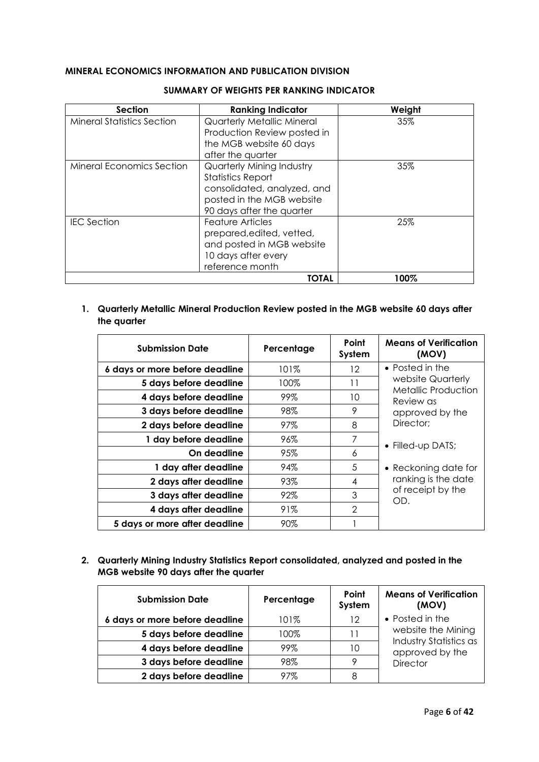## **MINERAL ECONOMICS INFORMATION AND PUBLICATION DIVISION**

| <b>Section</b>                    | <b>Ranking Indicator</b>          | Weight |
|-----------------------------------|-----------------------------------|--------|
| <b>Mineral Statistics Section</b> | <b>Quarterly Metallic Mineral</b> | 35%    |
|                                   | Production Review posted in       |        |
|                                   | the MGB website 60 days           |        |
|                                   | after the quarter                 |        |
| <b>Mineral Economics Section</b>  | Quarterly Mining Industry         | 35%    |
|                                   | <b>Statistics Report</b>          |        |
|                                   | consolidated, analyzed, and       |        |
|                                   | posted in the MGB website         |        |
|                                   | 90 days after the quarter         |        |
| <b>IEC</b> Section                | Feature Articles                  | 25%    |
|                                   | prepared, edited, vetted,         |        |
|                                   | and posted in MGB website         |        |
|                                   | 10 days after every               |        |
|                                   | reference month                   |        |
|                                   | TOTAL                             | 100%   |

#### **SUMMARY OF WEIGHTS PER RANKING INDICATOR**

## **1. Quarterly Metallic Mineral Production Review posted in the MGB website 60 days after the quarter**

| <b>Submission Date</b>         | Percentage | Point<br>System | <b>Means of Verification</b><br>(MOV)    |
|--------------------------------|------------|-----------------|------------------------------------------|
| 6 days or more before deadline | 101%       | 12              | $\bullet$ Posted in the                  |
| 5 days before deadline         | 100%       | 11              | website Quarterly<br>Metallic Production |
| 4 days before deadline         | 99%        | 10              | Review as                                |
| 3 days before deadline         | 98%        | 9               | approved by the                          |
| 2 days before deadline         | 97%        | 8               | Director:                                |
| 1 day before deadline          | 96%        | 7               | • Filled-up DATS;                        |
| On deadline                    | 95%        | 6               |                                          |
| 1 day after deadline           | 94%        | 5               | • Reckoning date for                     |
| 2 days after deadline          | 93%        | 4               | ranking is the date                      |
| 3 days after deadline          | 92%        | 3               | of receipt by the<br>OD.                 |
| 4 days after deadline          | 91%        | $\mathcal{P}$   |                                          |
| 5 days or more after deadline  | 90%        |                 |                                          |

## **2. Quarterly Mining Industry Statistics Report consolidated, analyzed and posted in the MGB website 90 days after the quarter**

| <b>Submission Date</b>         | Percentage | Point<br>System | <b>Means of Verification</b><br>(MOV)     |
|--------------------------------|------------|-----------------|-------------------------------------------|
| 6 days or more before deadline | 101%       | 12              | • Posted in the                           |
| 5 days before deadline         | 100%       | 11              | website the Mining                        |
| 4 days before deadline         | 99%        | 10              | Industry Statistics as<br>approved by the |
| 3 days before deadline         | 98%        | o               | <b>Director</b>                           |
| 2 days before deadline         | 97%        | 8               |                                           |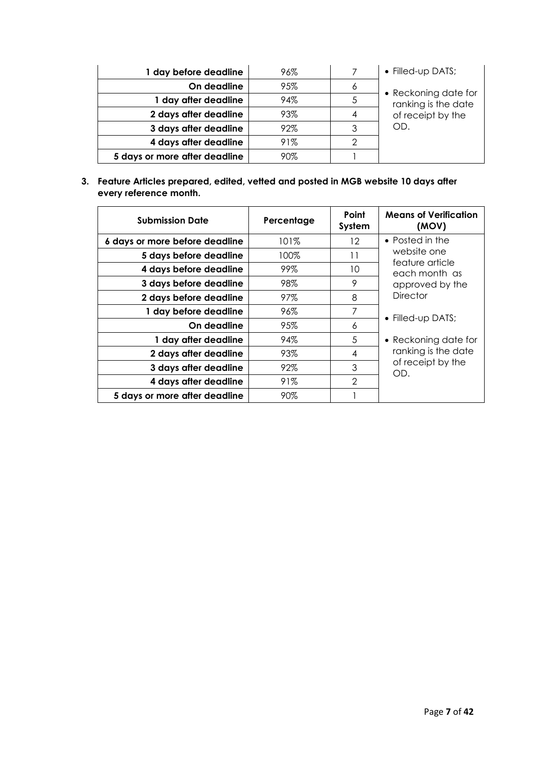| 1 day before deadline         | 96% |   | • Filled-up DATS;    |
|-------------------------------|-----|---|----------------------|
| On deadline                   | 95% | 6 | • Reckoning date for |
| 1 day after deadline          | 94% |   | ranking is the date  |
| 2 days after deadline         | 93% |   | of receipt by the    |
| 3 days after deadline         | 92% |   | OD.                  |
| 4 days after deadline         | 91% |   |                      |
| 5 days or more after deadline | 90% |   |                      |

**3. Feature Articles prepared, edited, vetted and posted in MGB website 10 days after every reference month.** 

| <b>Submission Date</b>         | Percentage | Point<br>System | <b>Means of Verification</b><br>(MOV) |
|--------------------------------|------------|-----------------|---------------------------------------|
| 6 days or more before deadline | 101%       | 12              | • Posted in the                       |
| 5 days before deadline         | 100%       | 11              | website one<br>feature article        |
| 4 days before deadline         | 99%        | 10              | each month as                         |
| 3 days before deadline         | 98%        | 9               | approved by the                       |
| 2 days before deadline         | 97%        | 8               | <b>Director</b>                       |
| 1 day before deadline          | 96%        | 7               | • Filled-up DATS;                     |
| On deadline                    | 95%        | 6               |                                       |
| 1 day after deadline           | 94%        | 5               | • Reckoning date for                  |
| 2 days after deadline          | 93%        | 4               | ranking is the date                   |
| 3 days after deadline          | 92%        | 3               | of receipt by the<br>OD.              |
| 4 days after deadline          | 91%        | $\overline{2}$  |                                       |
| 5 days or more after deadline  | 90%        |                 |                                       |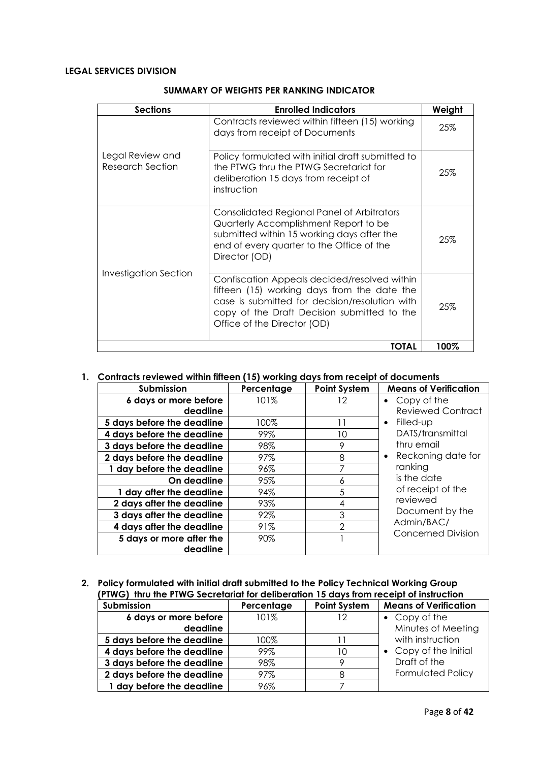## **LEGAL SERVICES DIVISION**

| <b>Sections</b>                             | <b>Enrolled Indicators</b>                                                                                                                                                                                                  | Weight |
|---------------------------------------------|-----------------------------------------------------------------------------------------------------------------------------------------------------------------------------------------------------------------------------|--------|
|                                             | Contracts reviewed within fifteen (15) working<br>days from receipt of Documents                                                                                                                                            | 25%    |
| Legal Review and<br><b>Research Section</b> | Policy formulated with initial draft submitted to<br>the PTWG thru the PTWG Secretariat for<br>deliberation 15 days from receipt of<br>instruction                                                                          | 25%    |
|                                             | Consolidated Regional Panel of Arbitrators<br>Quarterly Accomplishment Report to be<br>submitted within 15 working days after the<br>end of every quarter to the Office of the<br>Director (OD)                             | 25%    |
| <b>Investigation Section</b>                | Confiscation Appeals decided/resolved within<br>fifteen (15) working days from the date the<br>case is submitted for decision/resolution with<br>copy of the Draft Decision submitted to the<br>Office of the Director (OD) | 25%    |
|                                             | TOTAL                                                                                                                                                                                                                       | 100%   |

#### **SUMMARY OF WEIGHTS PER RANKING INDICATOR**

#### **1. Contracts reviewed within fifteen (15) working days from receipt of documents**

| Submission                 | Percentage | <b>Point System</b> | <b>Means of Verification</b>                                   |
|----------------------------|------------|---------------------|----------------------------------------------------------------|
| 6 days or more before      | 101%       | 12                  | $\bullet$ Copy of the                                          |
| deadline                   |            |                     | <b>Reviewed Contract</b>                                       |
| 5 days before the deadline | 100%       | ' 1                 | $\bullet$ Filled-up                                            |
| 4 days before the deadline | 99%        | 10                  | DATS/transmittal                                               |
| 3 days before the deadline | 98%        | 9                   | thru email                                                     |
| 2 days before the deadline | 97%        | 8                   | • Reckoning date for                                           |
| 1 day before the deadline  | 96%        | 7                   | ranking                                                        |
| On deadline                | 95%        | 6                   | is the date                                                    |
| 1 day after the deadline   | 94%        | 5                   | of receipt of the<br>reviewed<br>Document by the<br>Admin/BAC/ |
| 2 days after the deadline  | 93%        | 4                   |                                                                |
| 3 days after the deadline  | 92%        | 3                   |                                                                |
| 4 days after the deadline  | 91%        | $\mathcal{P}$       |                                                                |
| 5 days or more after the   | 90%        |                     | Concerned Division                                             |
| deadline                   |            |                     |                                                                |

#### **2. Policy formulated with initial draft submitted to the Policy Technical Working Group (PTWG) thru the PTWG Secretariat for deliberation 15 days from receipt of instruction**

| Submission                 | Percentage | <b>Point System</b> | <b>Means of Verification</b> |
|----------------------------|------------|---------------------|------------------------------|
| 6 days or more before      | 101%       | 12                  | $\bullet$ Copy of the        |
| deadline                   |            |                     | Minutes of Meeting           |
| 5 days before the deadline | 100%       |                     | with instruction             |
| 4 days before the deadline | 99%        | 10                  | • Copy of the Initial        |
| 3 days before the deadline | 98%        |                     | Draft of the                 |
| 2 days before the deadline | 97%        | 8                   | <b>Formulated Policy</b>     |
| 1 day before the deadline  | 96%        |                     |                              |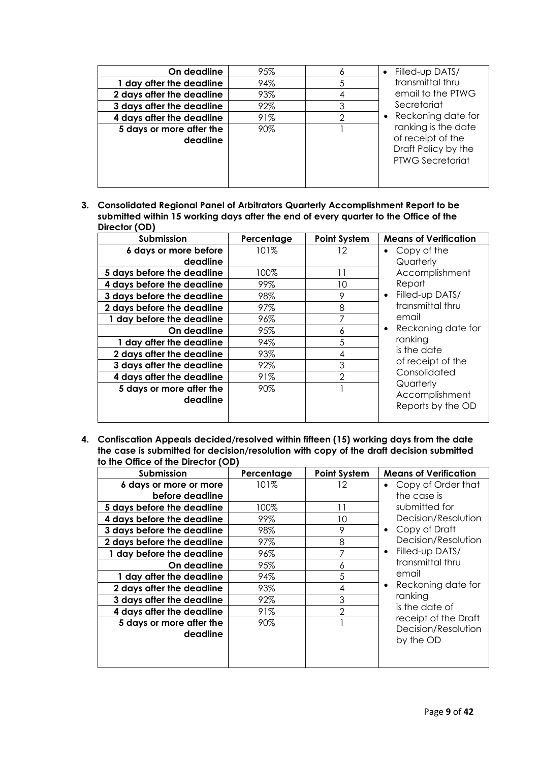| On deadline                          | 95% | 6 | Filled-up DATS/                                                                            |
|--------------------------------------|-----|---|--------------------------------------------------------------------------------------------|
| 1 day after the deadline             | 94% | 5 | transmittal thru                                                                           |
| 2 days after the deadline            | 93% | 4 | email to the PTWG                                                                          |
| 3 days after the deadline            | 92% | 3 | Secretariat                                                                                |
| 4 days after the deadline            | 91% | 0 | • Reckoning date for                                                                       |
| 5 days or more after the<br>deadline | 90% |   | ranking is the date<br>of receipt of the<br>Draft Policy by the<br><b>PTWG Secretariat</b> |

**3. Consolidated Regional Panel of Arbitrators Quarterly Accomplishment Report to be submitted within 15 working days after the end of every quarter to the Office of the Director (OD)**

| Submission                 | Percentage | <b>Point System</b> | <b>Means of Verification</b>      |
|----------------------------|------------|---------------------|-----------------------------------|
| 6 days or more before      | 101%       | 12                  | Copy of the<br>٠                  |
| deadline                   |            |                     | Quarterly                         |
| 5 days before the deadline | 100%       | 11                  | Accomplishment                    |
| 4 days before the deadline | 99%        | 10                  | Report                            |
| 3 days before the deadline | 98%        | 9                   | Filled-up DATS/<br>$\bullet$      |
| 2 days before the deadline | 97%        | 8                   | transmittal thru                  |
| 1 day before the deadline  | 96%        |                     | email                             |
| On deadline                | 95%        | 6                   | • Reckoning date for              |
| 1 day after the deadline   | 94%        | 5                   | ranking                           |
| 2 days after the deadline  | 93%        | 4                   | is the date                       |
| 3 days after the deadline  | 92%        | 3                   | of receipt of the<br>Consolidated |
| 4 days after the deadline  | 91%        | $\mathcal{P}$       |                                   |
| 5 days or more after the   | 90%        |                     | Quarterly                         |
| deadline                   |            |                     | Accomplishment                    |
|                            |            |                     | Reports by the OD                 |
|                            |            |                     |                                   |

**4. Confiscation Appeals decided/resolved within fifteen (15) working days from the date the case is submitted for decision/resolution with copy of the draft decision submitted to the Office of the Director (OD)** 

| <b>Submission</b>                         | Percentage | <b>Point System</b> | <b>Means of Verification</b>                   |
|-------------------------------------------|------------|---------------------|------------------------------------------------|
| 6 days or more or more<br>before deadline | 101%       | 12                  | Copy of Order that<br>$\bullet$<br>the case is |
| 5 days before the deadline                | 100%       | 11                  | submitted for                                  |
| 4 days before the deadline                | 99%        | 10                  | Decision/Resolution                            |
| 3 days before the deadline                | 98%        | 9                   | Copy of Draft<br>$\bullet$                     |
| 2 days before the deadline                | 97%        | 8                   | Decision/Resolution                            |
| 1 day before the deadline                 | 96%        | 7                   | Filled-up DATS/<br>$\bullet$                   |
| On deadline                               | 95%        | 6                   | transmittal thru                               |
| 1 day after the deadline                  | 94%        | 5                   | email                                          |
| 2 days after the deadline                 | 93%        | 4                   | Reckoning date for<br>$\bullet$                |
| 3 days after the deadline                 | 92%        | 3                   | ranking                                        |
| 4 days after the deadline                 | 91%        | $\mathcal{P}$       | is the date of                                 |
| 5 days or more after the                  | 90%        |                     | receipt of the Draft                           |
| deadline                                  |            |                     | Decision/Resolution<br>by the OD               |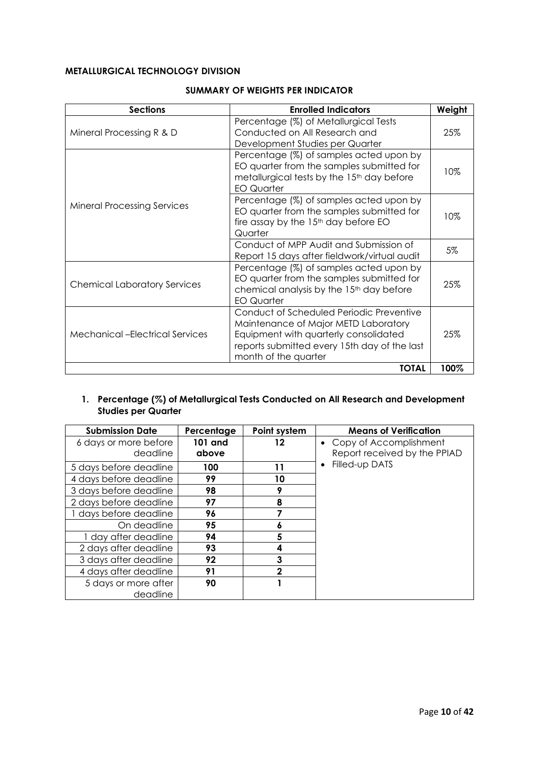## **METALLURGICAL TECHNOLOGY DIVISION**

| <b>Sections</b>                        | <b>Enrolled Indicators</b>                                                                                                                                                                        | Weight |
|----------------------------------------|---------------------------------------------------------------------------------------------------------------------------------------------------------------------------------------------------|--------|
| Mineral Processing R & D               | Percentage (%) of Metallurgical Tests<br>Conducted on All Research and<br>Development Studies per Quarter                                                                                         | 25%    |
|                                        | Percentage (%) of samples acted upon by<br>EO quarter from the samples submitted for<br>metallurgical tests by the 15 <sup>th</sup> day before<br><b>EO Quarter</b>                               | 10%    |
| <b>Mineral Processing Services</b>     | Percentage (%) of samples acted upon by<br>EO quarter from the samples submitted for<br>fire assay by the 15 <sup>th</sup> day before EO<br>Quarter                                               | 10%    |
|                                        | Conduct of MPP Audit and Submission of<br>Report 15 days after fieldwork/virtual audit                                                                                                            | 5%     |
| <b>Chemical Laboratory Services</b>    | Percentage (%) of samples acted upon by<br>EO quarter from the samples submitted for<br>chemical analysis by the 15 <sup>th</sup> day before<br><b>EO Quarter</b>                                 | 25%    |
| <b>Mechanical -Electrical Services</b> | Conduct of Scheduled Periodic Preventive<br>Maintenance of Major METD Laboratory<br>Equipment with quarterly consolidated<br>reports submitted every 15th day of the last<br>month of the quarter | 25%    |
|                                        | <b>TOTAL</b>                                                                                                                                                                                      | 100%   |

#### **SUMMARY OF WEIGHTS PER INDICATOR**

## **1. Percentage (%) of Metallurgical Tests Conducted on All Research and Development Studies per Quarter**

| <b>Submission Date</b>            | Percentage       | Point system | <b>Means of Verification</b>                             |
|-----------------------------------|------------------|--------------|----------------------------------------------------------|
| 6 days or more before<br>deadline | 101 and<br>above | 12           | • Copy of Accomplishment<br>Report received by the PPIAD |
| 5 days before deadline            | 100              | 11           | Filled-up DATS                                           |
| 4 days before deadline            | 99               | 10           |                                                          |
| 3 days before deadline            | 98               | a            |                                                          |
| 2 days before deadline            | 97               | 8            |                                                          |
| 1 days before deadline            | 96               |              |                                                          |
| On deadline                       | 95               |              |                                                          |
| 1 day after deadline              | 94               | 5            |                                                          |
| 2 days after deadline             | 93               | 4            |                                                          |
| 3 days after deadline             | 92               | 3            |                                                          |
| 4 days after deadline             | 91               | 2            |                                                          |
| 5 days or more after              | 90               |              |                                                          |
| deadline                          |                  |              |                                                          |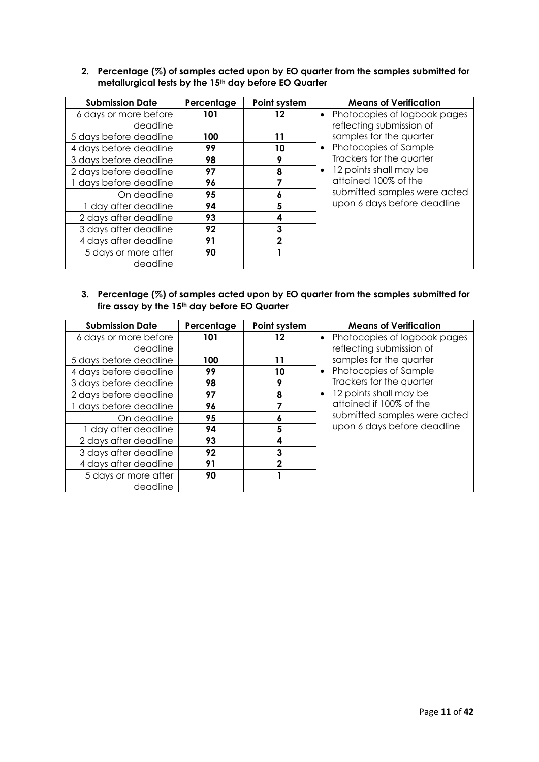## **2. Percentage (%) of samples acted upon by EO quarter from the samples submitted for metallurgical tests by the 15th day before EO Quarter**

| <b>Submission Date</b> | Percentage | Point system | <b>Means of Verification</b>              |
|------------------------|------------|--------------|-------------------------------------------|
| 6 days or more before  | 101        | 12           | Photocopies of logbook pages<br>$\bullet$ |
| deadline               |            |              | reflecting submission of                  |
| 5 days before deadline | 100        | 11           | samples for the quarter                   |
| 4 days before deadline | 99         | 10           | • Photocopies of Sample                   |
| 3 days before deadline | 98         |              | Trackers for the quarter                  |
| 2 days before deadline | 97         | 8            | 12 points shall may be<br>$\bullet$       |
| days before deadline   | 96         |              | attained 100% of the                      |
| On deadline            | 95         | O            | submitted samples were acted              |
| 1 day after deadline   | 94         | 5            | upon 6 days before deadline               |
| 2 days after deadline  | 93         |              |                                           |
| 3 days after deadline  | 92         | 3            |                                           |
| 4 days after deadline  | 91         |              |                                           |
| 5 days or more after   | 90         |              |                                           |
| deadline               |            |              |                                           |

## **3. Percentage (%) of samples acted upon by EO quarter from the samples submitted for fire assay by the 15th day before EO Quarter**

| <b>Submission Date</b> | Percentage | Point system | <b>Means of Verification</b>   |
|------------------------|------------|--------------|--------------------------------|
| 6 days or more before  | 101        | 12           | • Photocopies of logbook pages |
| deadline               |            |              | reflecting submission of       |
| 5 days before deadline | 100        | 11           | samples for the quarter        |
| 4 days before deadline | 99         | 10           | • Photocopies of Sample        |
| 3 days before deadline | 98         | 9            | Trackers for the quarter       |
| 2 days before deadline | 97         | 8            | 12 points shall may be         |
| 1 days before deadline | 96         |              | attained if 100% of the        |
| On deadline            | 95         | O            | submitted samples were acted   |
| 1 day after deadline   | 94         | 5            | upon 6 days before deadline    |
| 2 days after deadline  | 93         | 4            |                                |
| 3 days after deadline  | 92         | 3            |                                |
| 4 days after deadline  | 91         |              |                                |
| 5 days or more after   | 90         |              |                                |
| deadline               |            |              |                                |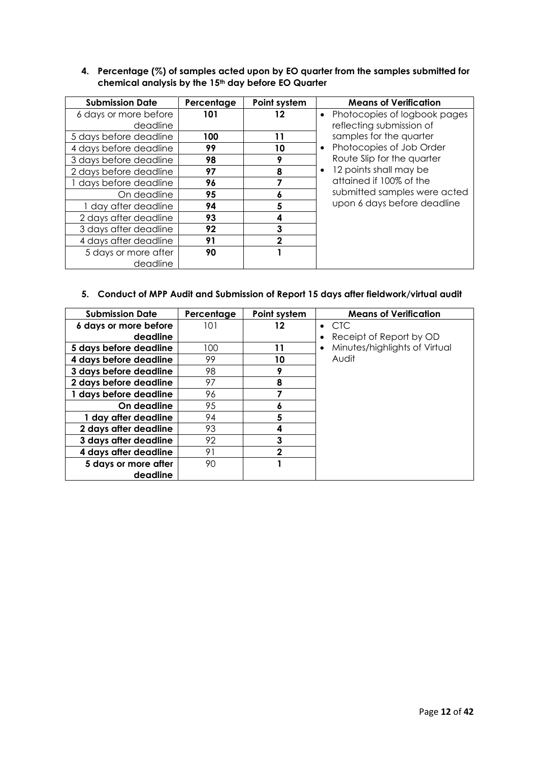## **4. Percentage (%) of samples acted upon by EO quarter from the samples submitted for chemical analysis by the 15th day before EO Quarter**

| <b>Submission Date</b> | Percentage | Point system | <b>Means of Verification</b>              |
|------------------------|------------|--------------|-------------------------------------------|
| 6 days or more before  | 101        | 12           | Photocopies of logbook pages<br>$\bullet$ |
| deadline               |            |              | reflecting submission of                  |
| 5 days before deadline | 100        | 11           | samples for the quarter                   |
| 4 days before deadline | 99         | 10           | Photocopies of Job Order<br>$\bullet$     |
| 3 days before deadline | 98         | 9            | Route Slip for the quarter                |
| 2 days before deadline | 97         | 8            | 12 points shall may be<br>٠               |
| days before deadline   | 96         |              | attained if 100% of the                   |
| On deadline            | 95         | Ô            | submitted samples were acted              |
| 1 day after deadline   | 94         | 5            | upon 6 days before deadline               |
| 2 days after deadline  | 93         | 4            |                                           |
| 3 days after deadline  | 92         | 3            |                                           |
| 4 days after deadline  | 91         |              |                                           |
| 5 days or more after   | 90         |              |                                           |
| deadline               |            |              |                                           |

# **5. Conduct of MPP Audit and Submission of Report 15 days after fieldwork/virtual audit**

| <b>Submission Date</b>            | Percentage | Point system | <b>Means of Verification</b>             |
|-----------------------------------|------------|--------------|------------------------------------------|
| 6 days or more before<br>deadline | 101        | 12           | $\bullet$ CTC<br>Receipt of Report by OD |
| 5 days before deadline            | 100        | 11           | Minutes/highlights of Virtual            |
| 4 days before deadline            | 99         | 10           | Audit                                    |
| 3 days before deadline            | 98         |              |                                          |
| 2 days before deadline            | 97         | 8            |                                          |
| 1 days before deadline            | 96         |              |                                          |
| On deadline                       | 95         | O            |                                          |
| 1 day after deadline              | 94         | 5            |                                          |
| 2 days after deadline             | 93         | 4            |                                          |
| 3 days after deadline             | 92         | 3            |                                          |
| 4 days after deadline             | 91         | 2            |                                          |
| 5 days or more after              | 90         |              |                                          |
| deadline                          |            |              |                                          |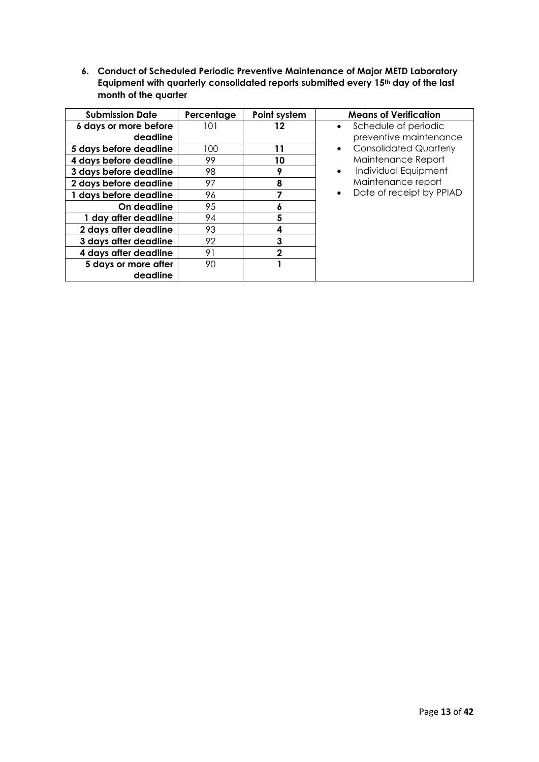**6. Conduct of Scheduled Periodic Preventive Maintenance of Major METD Laboratory Equipment with quarterly consolidated reports submitted every 15th day of the last month of the quarter** 

| <b>Submission Date</b>            | Percentage | Point system | <b>Means of Verification</b>                   |
|-----------------------------------|------------|--------------|------------------------------------------------|
| 6 days or more before<br>deadline | 101        | 12           | Schedule of periodic<br>preventive maintenance |
| 5 days before deadline            | 100        | 11           | <b>Consolidated Quarterly</b>                  |
| 4 days before deadline            | 99         | 10           | Maintenance Report                             |
| 3 days before deadline            | 98         | О            | Individual Equipment<br>$\bullet$              |
| 2 days before deadline            | 97         | 8            | Maintenance report                             |
| 1 days before deadline            | 96         |              | Date of receipt by PPIAD                       |
| On deadline                       | 95         | ۰            |                                                |
| 1 day after deadline              | 94         | 5            |                                                |
| 2 days after deadline             | 93         |              |                                                |
| 3 days after deadline             | 92         |              |                                                |
| 4 days after deadline             | 91         |              |                                                |
| 5 days or more after              | 90         |              |                                                |
| deadline                          |            |              |                                                |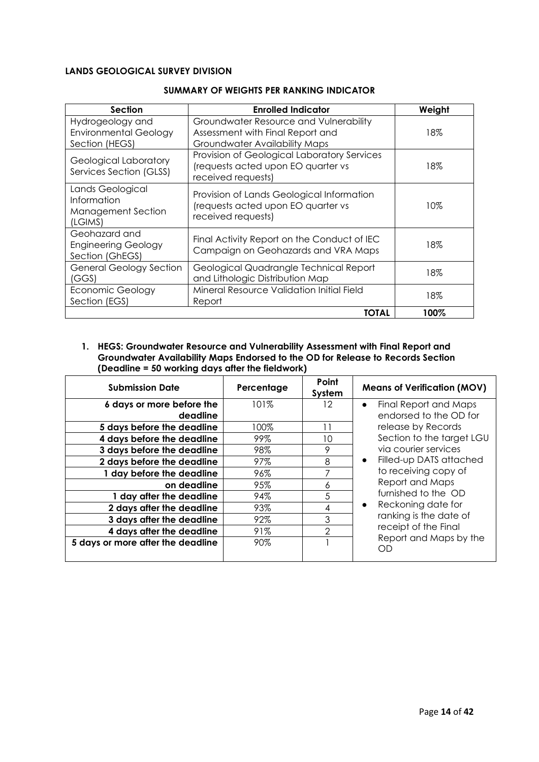## **LANDS GEOLOGICAL SURVEY DIVISION**

| Section                                                            | <b>Enrolled Indicator</b>                                                                                          | Weight |
|--------------------------------------------------------------------|--------------------------------------------------------------------------------------------------------------------|--------|
| Hydrogeology and<br><b>Environmental Geology</b><br>Section (HEGS) | Groundwater Resource and Vulnerability<br>Assessment with Final Report and<br><b>Groundwater Availability Maps</b> | 18%    |
| Geological Laboratory<br>Services Section (GLSS)                   | Provision of Geological Laboratory Services<br>(requests acted upon EO quarter vs<br>received requests)            | 18%    |
| Lands Geological<br>Information<br>Management Section<br>(LGIMS)   | Provision of Lands Geological Information<br>(requests acted upon EO quarter vs<br>received requests)              | 10%    |
| Geohazard and<br><b>Engineering Geology</b><br>Section (GhEGS)     | Final Activity Report on the Conduct of IEC<br>Campaign on Geohazards and VRA Maps                                 | 18%    |
| <b>General Geology Section</b><br>(GGS)                            | Geological Quadrangle Technical Report<br>and Lithologic Distribution Map                                          | 18%    |
| Economic Geology<br>Section (EGS)                                  | Mineral Resource Validation Initial Field<br>Report                                                                | 18%    |
|                                                                    | TOTAL                                                                                                              | 100%   |

#### **SUMMARY OF WEIGHTS PER RANKING INDICATOR**

**1. HEGS: Groundwater Resource and Vulnerability Assessment with Final Report and Groundwater Availability Maps Endorsed to the OD for Release to Records Section (Deadline = 50 working days after the fieldwork)**

| <b>Submission Date</b>            | Percentage | Point<br>System | <b>Means of Verification (MOV)</b>   |
|-----------------------------------|------------|-----------------|--------------------------------------|
| 6 days or more before the         | 101%       | 12              | Final Report and Maps                |
| deadline                          |            |                 | endorsed to the OD for               |
| 5 days before the deadline        | 100%       | 11              | release by Records                   |
| 4 days before the deadline        | 99%        | 10              | Section to the target LGU            |
| 3 days before the deadline        | 98%        | 9               | via courier services                 |
| 2 days before the deadline        | 97%        | 8               | Filled-up DATS attached<br>$\bullet$ |
| 1 day before the deadline         | 96%        |                 | to receiving copy of                 |
| on deadline                       | 95%        | 6               | Report and Maps                      |
| 1 day after the deadline          | 94%        | 5               | furnished to the OD                  |
| 2 days after the deadline         | 93%        | 4               | Reckoning date for                   |
| 3 days after the deadline         | 92%        | 3               | ranking is the date of               |
| 4 days after the deadline         | 91%        | 2               | receipt of the Final                 |
| 5 days or more after the deadline | 90%        |                 | Report and Maps by the<br>ωD         |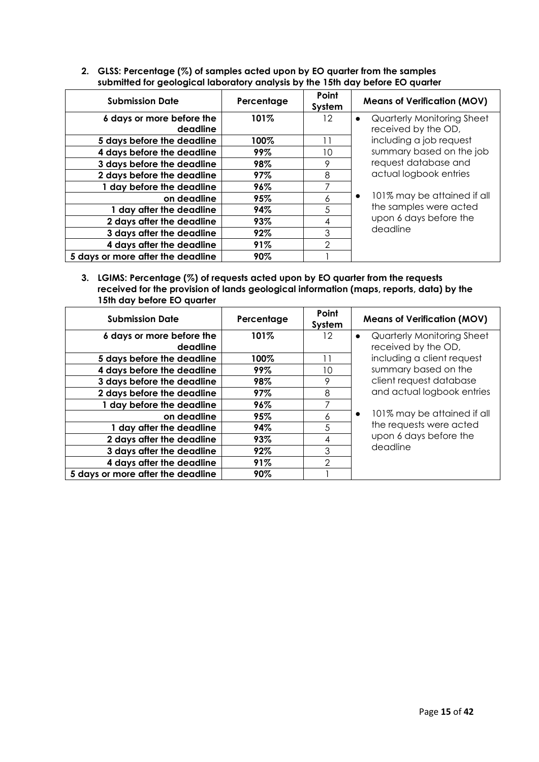| <b>Submission Date</b>            | Percentage | Point<br>System | <b>Means of Verification (MOV)</b>       |
|-----------------------------------|------------|-----------------|------------------------------------------|
| 6 days or more before the         | 101%       | 12              | Quarterly Monitoring Sheet<br>$\bullet$  |
| deadline                          |            |                 | received by the OD,                      |
| 5 days before the deadline        | 100%       | 11              | including a job request                  |
| 4 days before the deadline        | 99%        | 10              | summary based on the job                 |
| 3 days before the deadline        | 98%        | 9               | request database and                     |
| 2 days before the deadline        | 97%        | 8               | actual logbook entries                   |
| 1 day before the deadline         | 96%        | 7               |                                          |
| on deadline                       | 95%        | 6               | 101% may be attained if all<br>$\bullet$ |
| 1 day after the deadline          | 94%        | 5               | the samples were acted                   |
| 2 days after the deadline         | 93%        | 4               | upon 6 days before the                   |
| 3 days after the deadline         | 92%        | 3               | deadline                                 |
| 4 days after the deadline         | 91%        | $\overline{2}$  |                                          |
| 5 days or more after the deadline | 90%        |                 |                                          |

**2. GLSS: Percentage (%) of samples acted upon by EO quarter from the samples submitted for geological laboratory analysis by the 15th day before EO quarter**

**3. LGIMS: Percentage (%) of requests acted upon by EO quarter from the requests received for the provision of lands geological information (maps, reports, data) by the 15th day before EO quarter**

| <b>Submission Date</b>            | Percentage | Point<br>System | <b>Means of Verification (MOV)</b>       |
|-----------------------------------|------------|-----------------|------------------------------------------|
| 6 days or more before the         | 101%       | 12              | Quarterly Monitoring Sheet<br>$\bullet$  |
| deadline                          |            |                 | received by the OD,                      |
| 5 days before the deadline        | 100%       | 11              | including a client request               |
| 4 days before the deadline        | 99%        | 10              | summary based on the                     |
| 3 days before the deadline        | 98%        | 9               | client request database                  |
| 2 days before the deadline        | 97%        | 8               | and actual logbook entries               |
| 1 day before the deadline         | 96%        | 7               |                                          |
| on deadline                       | 95%        | 6               | 101% may be attained if all<br>$\bullet$ |
| 1 day after the deadline          | 94%        | 5               | the requests were acted                  |
| 2 days after the deadline         | 93%        | 4               | upon 6 days before the                   |
| 3 days after the deadline         | 92%        | 3               | deadline                                 |
| 4 days after the deadline         | 91%        | $\mathfrak{D}$  |                                          |
| 5 days or more after the deadline | 90%        |                 |                                          |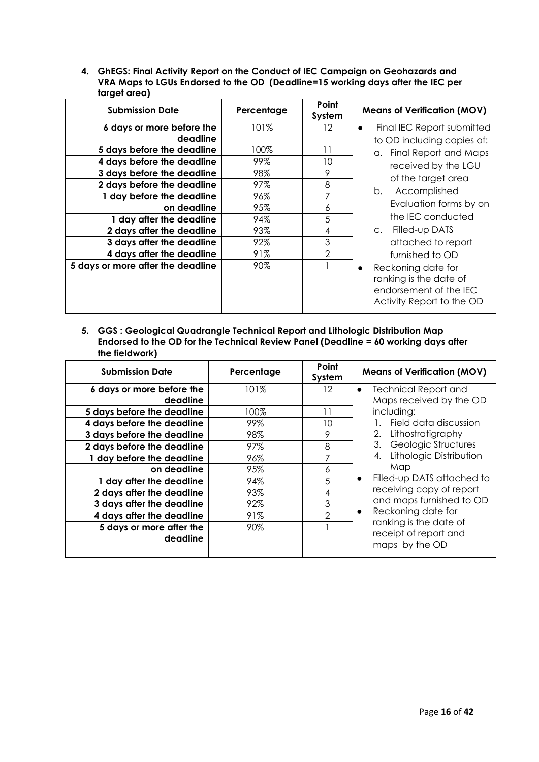**4. GhEGS: Final Activity Report on the Conduct of IEC Campaign on Geohazards and VRA Maps to LGUs Endorsed to the OD (Deadline=15 working days after the IEC per target area)**

| <b>Submission Date</b>            | Percentage | Point<br>System | <b>Means of Verification (MOV)</b>                                                                               |
|-----------------------------------|------------|-----------------|------------------------------------------------------------------------------------------------------------------|
| 6 days or more before the         | $101\%$    | 12              | Final IEC Report submitted<br>$\bullet$                                                                          |
| deadline                          |            |                 | to OD including copies of:                                                                                       |
| 5 days before the deadline        | 100%       | 11              | a. Final Report and Maps                                                                                         |
| 4 days before the deadline        | 99%        | 10              | received by the LGU                                                                                              |
| 3 days before the deadline        | 98%        | 9               |                                                                                                                  |
| 2 days before the deadline        | 97%        | 8               | of the target area                                                                                               |
| 1 day before the deadline         | 96%        |                 | Accomplished<br>b.                                                                                               |
| on deadline                       | 95%        | 6               | Evaluation forms by on                                                                                           |
| 1 day after the deadline          | 94%        | 5               | the IEC conducted                                                                                                |
| 2 days after the deadline         | 93%        | 4               | Filled-up DATS<br>$C_{\star}$                                                                                    |
| 3 days after the deadline         | 92%        | 3               | attached to report                                                                                               |
| 4 days after the deadline         | 91%        | 2               | furnished to OD                                                                                                  |
| 5 days or more after the deadline | 90%        |                 | Reckoning date for<br>$\bullet$<br>ranking is the date of<br>endorsement of the IEC<br>Activity Report to the OD |

#### **5. GGS : Geological Quadrangle Technical Report and Lithologic Distribution Map Endorsed to the OD for the Technical Review Panel (Deadline = 60 working days after the fieldwork)**

| <b>Submission Date</b>                | Percentage | Point<br>System | <b>Means of Verification (MOV)</b>                                |
|---------------------------------------|------------|-----------------|-------------------------------------------------------------------|
| 6 days or more before the<br>deadline | 101%       | 12              | <b>Technical Report and</b><br>Maps received by the OD            |
| 5 days before the deadline            | 100%       | 11              | including:                                                        |
| 4 days before the deadline            | 99%        | 10              | Field data discussion                                             |
| 3 days before the deadline            | 98%        | 9               | 2.<br>Lithostratigraphy                                           |
| 2 days before the deadline            | 97%        | 8               | Geologic Structures<br>3.                                         |
| 1 day before the deadline             | 96%        |                 | Lithologic Distribution                                           |
| on deadline                           | 95%        | 6               | Map                                                               |
| 1 day after the deadline              | 94%        | 5               | Filled-up DATS attached to<br>$\bullet$                           |
| 2 days after the deadline             | 93%        | 4               | receiving copy of report                                          |
| 3 days after the deadline             | 92%        | 3               | and maps furnished to OD                                          |
| 4 days after the deadline             | 91%        | 2               | Reckoning date for<br>$\bullet$                                   |
| 5 days or more after the<br>deadline  | 90%        |                 | ranking is the date of<br>receipt of report and<br>maps by the OD |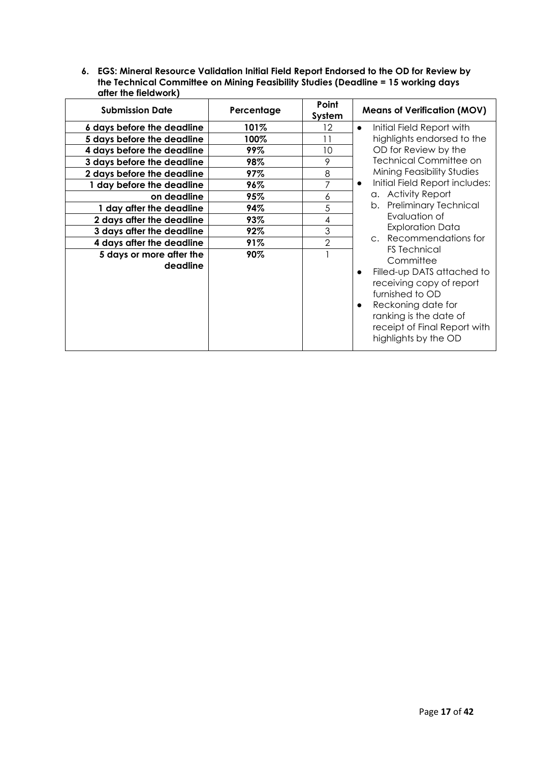**6. EGS: Mineral Resource Validation Initial Field Report Endorsed to the OD for Review by the Technical Committee on Mining Feasibility Studies (Deadline = 15 working days after the fieldwork)**

| <b>Submission Date</b>               | Percentage | Point<br>System | <b>Means of Verification (MOV)</b>                                                                                                                                                                                                              |
|--------------------------------------|------------|-----------------|-------------------------------------------------------------------------------------------------------------------------------------------------------------------------------------------------------------------------------------------------|
| 6 days before the deadline           | 101%       | 12.             | Initial Field Report with<br>$\bullet$                                                                                                                                                                                                          |
| 5 days before the deadline           | 100%       | 11              | highlights endorsed to the                                                                                                                                                                                                                      |
| 4 days before the deadline           | 99%        | 10              | OD for Review by the                                                                                                                                                                                                                            |
| 3 days before the deadline           | 98%        | 9               | <b>Technical Committee on</b>                                                                                                                                                                                                                   |
| 2 days before the deadline           | 97%        | 8               | Mining Feasibility Studies                                                                                                                                                                                                                      |
| 1 day before the deadline            | 96%        | 7               | Initial Field Report includes:<br>$\bullet$                                                                                                                                                                                                     |
| on deadline                          | 95%        | 6               | a. Activity Report                                                                                                                                                                                                                              |
| 1 day after the deadline             | 94%        | 5               | b. Preliminary Technical                                                                                                                                                                                                                        |
| 2 days after the deadline            | 93%        | 4               | Evaluation of                                                                                                                                                                                                                                   |
| 3 days after the deadline            | 92%        | 3               | <b>Exploration Data</b>                                                                                                                                                                                                                         |
| 4 days after the deadline            | 91%        | $\overline{2}$  | c. Recommendations for                                                                                                                                                                                                                          |
| 5 days or more after the<br>deadline | 90%        |                 | <b>FS</b> Technical<br>Committee<br>Filled-up DATS attached to<br>$\bullet$<br>receiving copy of report<br>furnished to OD<br>Reckoning date for<br>$\bullet$<br>ranking is the date of<br>receipt of Final Report with<br>highlights by the OD |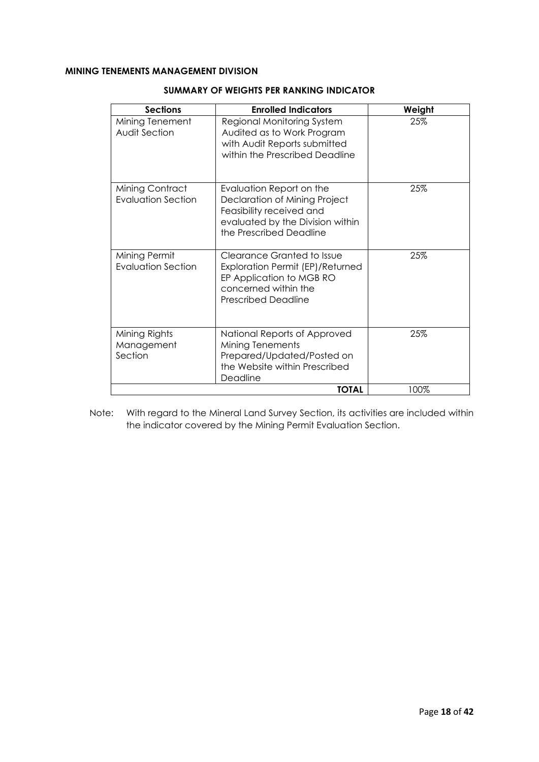## **MINING TENEMENTS MANAGEMENT DIVISION**

| <b>Sections</b>                         | <b>Enrolled Indicators</b>                                                                                                                           | Weight |
|-----------------------------------------|------------------------------------------------------------------------------------------------------------------------------------------------------|--------|
| Mining Tenement<br><b>Audit Section</b> | Regional Monitoring System<br>Audited as to Work Program<br>with Audit Reports submitted<br>within the Prescribed Deadline                           | 25%    |
| Mining Contract<br>Evaluation Section   | Evaluation Report on the<br>Declaration of Mining Project<br>Feasibility received and<br>evaluated by the Division within<br>the Prescribed Deadline | 25%    |
| Mining Permit<br>Evaluation Section     | Clearance Granted to Issue<br>Exploration Permit (EP)/Returned<br>EP Application to MGB RO<br>concerned within the<br><b>Prescribed Deadline</b>     | 25%    |
| Mining Rights<br>Management<br>Section  | National Reports of Approved<br>Mining Tenements<br>Prepared/Updated/Posted on<br>the Website within Prescribed<br>Deadline                          | 25%    |
|                                         | <b>TOTAL</b>                                                                                                                                         | 100%   |

#### **SUMMARY OF WEIGHTS PER RANKING INDICATOR**

Note: With regard to the Mineral Land Survey Section, its activities are included within the indicator covered by the Mining Permit Evaluation Section.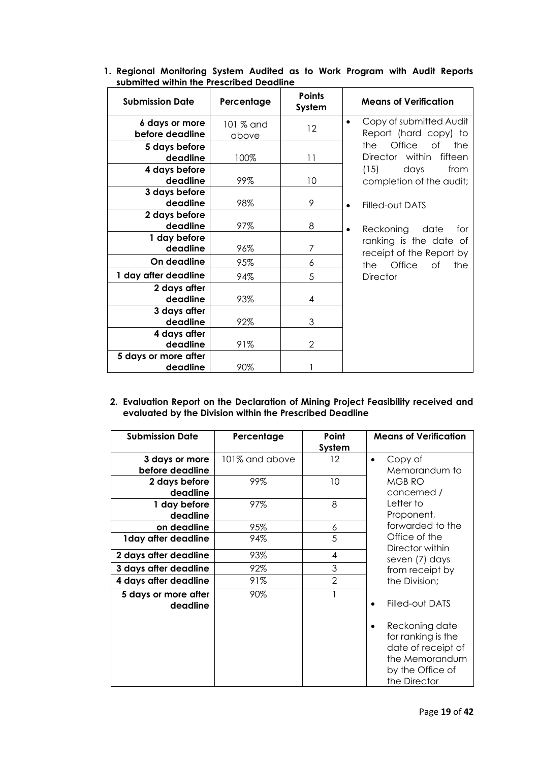| <b>Submission Date</b>            | Percentage         | <b>Points</b><br>System | <b>Means of Verification</b>                                  |
|-----------------------------------|--------------------|-------------------------|---------------------------------------------------------------|
| 6 days or more<br>before deadline | 101 % and<br>above | 12                      | Copy of submitted Audit<br>$\bullet$<br>Report (hard copy) to |
| 5 days before<br>deadline         | 100%               | $\overline{11}$         | Office<br>of<br>the<br>the<br>Director within<br>fifteen      |
| 4 days before<br>deadline         | 99%                | 10                      | (15)<br>days<br>from<br>completion of the audit;              |
| 3 days before<br>deadline         | 98%                | 9                       | Filled-out DATS<br>$\bullet$                                  |
| 2 days before<br>deadline         | 97%                | 8                       | Reckoning<br>date<br>for<br>٠                                 |
| 1 day before<br>deadline          | 96%                | 7                       | ranking is the date of<br>receipt of the Report by            |
| On deadline                       | 95%                | 6                       | Office<br>the<br>Οf<br>the                                    |
| 1 day after deadline              | 94%                | 5                       | <b>Director</b>                                               |
| 2 days after<br>deadline          | 93%                | 4                       |                                                               |
| 3 days after<br>deadline          | 92%                | 3                       |                                                               |
| 4 days after<br>deadline          | 91%                | 2                       |                                                               |
| 5 days or more after<br>deadline  | 90%                |                         |                                                               |

## **1. Regional Monitoring System Audited as to Work Program with Audit Reports submitted within the Prescribed Deadline**

#### **2. Evaluation Report on the Declaration of Mining Project Feasibility received and evaluated by the Division within the Prescribed Deadline**

| <b>Submission Date</b>           | Percentage     | Point          | <b>Means of Verification</b>                                                                                     |
|----------------------------------|----------------|----------------|------------------------------------------------------------------------------------------------------------------|
|                                  |                | System         |                                                                                                                  |
| 3 days or more                   | 101% and above | $12 \,$        | Copy of<br>$\bullet$                                                                                             |
| before deadline                  |                |                | Memorandum to                                                                                                    |
| 2 days before                    | 99%            | 10             | MGB RO                                                                                                           |
| deadline                         |                |                | concerned /                                                                                                      |
| 1 day before                     | 97%            | 8              | Letter to                                                                                                        |
| deadline                         |                |                | Proponent,                                                                                                       |
| on deadline                      | 95%            | 6              | forwarded to the                                                                                                 |
| 1 day after deadline             | 94%            | 5              | Office of the<br>Director within                                                                                 |
| 2 days after deadline            | 93%            | 4              | seven (7) days                                                                                                   |
| 3 days after deadline            | 92%            | 3              | from receipt by                                                                                                  |
| 4 days after deadline            | 91%            | $\overline{2}$ | the Division;                                                                                                    |
| 5 days or more after<br>deadline | 90%            |                | Filled-out DATS                                                                                                  |
|                                  |                |                | Reckoning date<br>for ranking is the<br>date of receipt of<br>the Memorandum<br>by the Office of<br>the Director |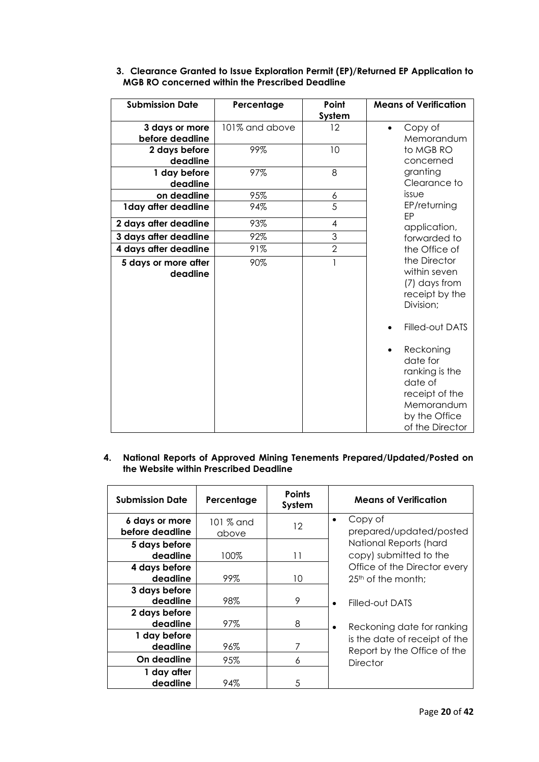| <b>Submission Date</b> | Percentage     | Point<br>System | <b>Means of Verification</b>                                                                                                        |
|------------------------|----------------|-----------------|-------------------------------------------------------------------------------------------------------------------------------------|
| 3 days or more         | 101% and above | 12              | Copy of<br>$\bullet$                                                                                                                |
| before deadline        |                |                 | Memorandum                                                                                                                          |
| 2 days before          | 99%            | 10              | to MGB RO                                                                                                                           |
| deadline               |                |                 | concerned                                                                                                                           |
| 1 day before           | 97%            | 8               | granting                                                                                                                            |
| deadline               |                |                 | Clearance to                                                                                                                        |
| on deadline            | 95%            | 6               | issue                                                                                                                               |
| 1 day after deadline   | 94%            | 5               | EP/returning<br>FP                                                                                                                  |
| 2 days after deadline  | 93%            | 4               | application,                                                                                                                        |
| 3 days after deadline  | 92%            | 3               | forwarded to                                                                                                                        |
| 4 days after deadline  | 91%            | $\overline{2}$  | the Office of                                                                                                                       |
| 5 days or more after   | 90%            | 1               | the Director                                                                                                                        |
| deadline               |                |                 | within seven<br>(7) days from<br>receipt by the<br>Division;                                                                        |
|                        |                |                 | Filled-out DATS                                                                                                                     |
|                        |                |                 | Reckoning<br>$\bullet$<br>date for<br>ranking is the<br>date of<br>receipt of the<br>Memorandum<br>by the Office<br>of the Director |

### **3. Clearance Granted to Issue Exploration Permit (EP)/Returned EP Application to MGB RO concerned within the Prescribed Deadline**

#### **4. National Reports of Approved Mining Tenements Prepared/Updated/Posted on the Website within Prescribed Deadline**

| <b>Submission Date</b>            | Percentage         | <b>Points</b><br>System | <b>Means of Verification</b>                                   |
|-----------------------------------|--------------------|-------------------------|----------------------------------------------------------------|
| 6 days or more<br>before deadline | 101 % and<br>above | 12                      | Copy of<br>$\bullet$<br>prepared/updated/posted                |
| 5 days before<br>deadline         | 100%               | 11                      | National Reports (hard<br>copy) submitted to the               |
| 4 days before<br>deadline         | 99%                | 10                      | Office of the Director every<br>25 <sup>th</sup> of the month; |
| 3 days before<br>deadline         | 98%                | 9                       | Filled-out DATS<br>$\bullet$                                   |
| 2 days before<br>deadline         | 97%                | 8                       | Reckoning date for ranking<br>$\bullet$                        |
| 1 day before<br>deadline          | 96%                |                         | is the date of receipt of the<br>Report by the Office of the   |
| On deadline                       | 95%                | 6                       | Director                                                       |
| 1 day after<br>deadline           | 94%                | 5                       |                                                                |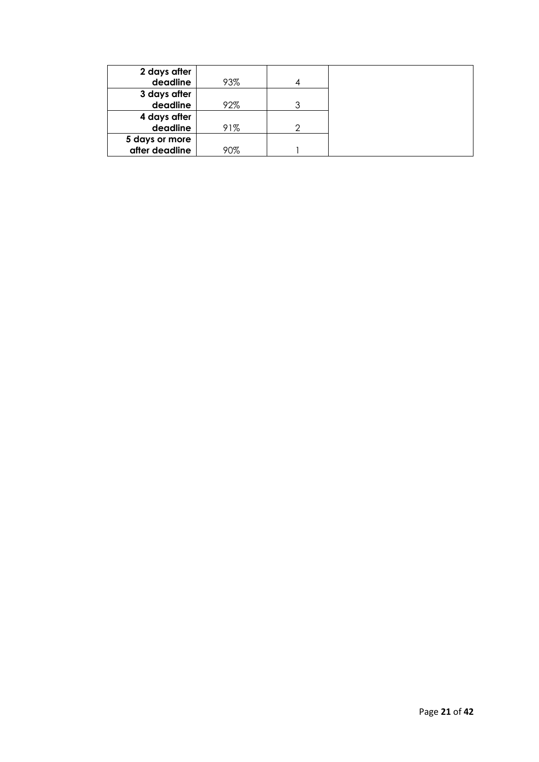| 2 days after   |     |   |
|----------------|-----|---|
| deadline       | 93% |   |
| 3 days after   |     |   |
| deadline       | 92% | ર |
| 4 days after   |     |   |
| deadline       | 91% | ⌒ |
| 5 days or more |     |   |
| after deadline | 90% |   |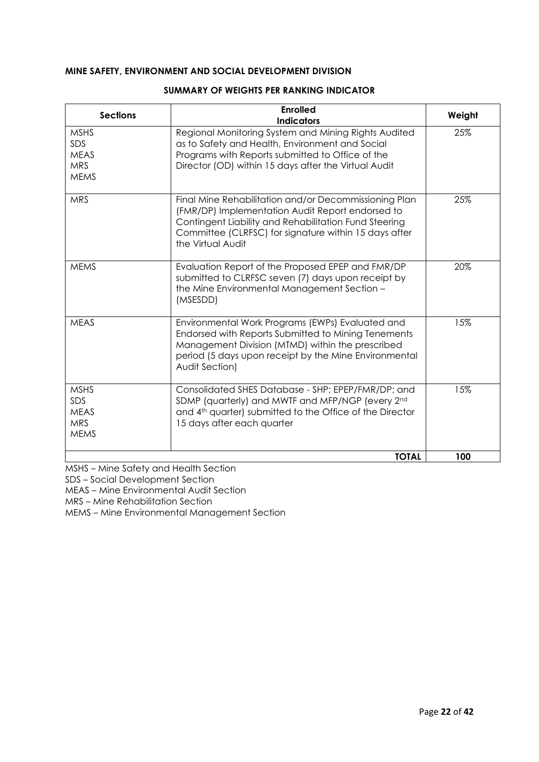### **MINE SAFETY, ENVIRONMENT AND SOCIAL DEVELOPMENT DIVISION**

| <b>Sections</b>                                                | <b>Enrolled</b><br><b>Indicators</b>                                                                                                                                                                                                             | Weight |
|----------------------------------------------------------------|--------------------------------------------------------------------------------------------------------------------------------------------------------------------------------------------------------------------------------------------------|--------|
| <b>MSHS</b><br>SDS<br><b>MEAS</b><br><b>MRS</b><br><b>MEMS</b> | Regional Monitoring System and Mining Rights Audited<br>as to Safety and Health, Environment and Social<br>Programs with Reports submitted to Office of the<br>Director (OD) within 15 days after the Virtual Audit                              | 25%    |
| <b>MRS</b>                                                     | Final Mine Rehabilitation and/or Decommissioning Plan<br>(FMR/DP) Implementation Audit Report endorsed to<br>Contingent Liability and Rehabilitation Fund Steering<br>Committee (CLRFSC) for signature within 15 days after<br>the Virtual Audit | 25%    |
| <b>MEMS</b>                                                    | Evaluation Report of the Proposed EPEP and FMR/DP<br>submitted to CLRFSC seven (7) days upon receipt by<br>the Mine Environmental Management Section -<br>(MSESDD)                                                                               | 20%    |
| <b>MEAS</b>                                                    | Environmental Work Programs (EWPs) Evaluated and<br>Endorsed with Reports Submitted to Mining Tenements<br>Management Division (MTMD) within the prescribed<br>period (5 days upon receipt by the Mine Environmental<br>Audit Section)           | 15%    |
| <b>MSHS</b><br>SDS<br><b>MEAS</b><br><b>MRS</b><br><b>MEMS</b> | Consolidated SHES Database - SHP; EPEP/FMR/DP; and<br>SDMP (quarterly) and MWTF and MFP/NGP (every 2nd<br>and 4th quarter) submitted to the Office of the Director<br>15 days after each quarter                                                 | 15%    |
|                                                                | <b>TOTAL</b>                                                                                                                                                                                                                                     | 100    |

#### **SUMMARY OF WEIGHTS PER RANKING INDICATOR**

MSHS – Mine Safety and Health Section

SDS – Social Development Section

MEAS – Mine Environmental Audit Section

MRS – Mine Rehabilitation Section

MEMS – Mine Environmental Management Section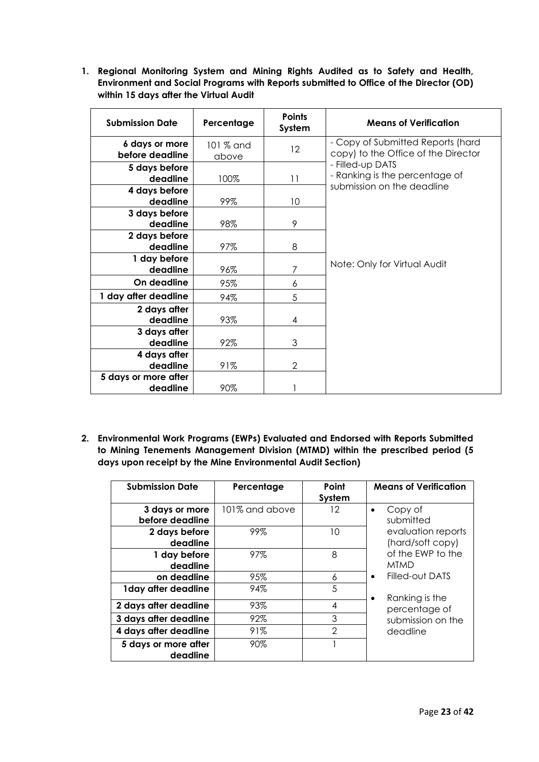**1. Regional Monitoring System and Mining Rights Audited as to Safety and Health, Environment and Social Programs with Reports submitted to Office of the Director (OD) within 15 days after the Virtual Audit**

| <b>Submission Date</b>            | Percentage         | <b>Points</b><br>System | <b>Means of Verification</b>                                                     |
|-----------------------------------|--------------------|-------------------------|----------------------------------------------------------------------------------|
| 6 days or more<br>before deadline | 101 % and<br>above | 12                      | - Copy of Submitted Reports (hard<br>copy) to the Office of the Director         |
| 5 days before<br>deadline         | 100%               | 11                      | - Filled-up DATS<br>- Ranking is the percentage of<br>submission on the deadline |
| 4 days before<br>deadline         | 99%                | 10                      |                                                                                  |
| 3 days before<br>deadline         | 98%                | 9                       |                                                                                  |
| 2 days before<br>deadline         | 97%                | 8                       |                                                                                  |
| 1 day before<br>deadline          | 96%                | 7                       | Note: Only for Virtual Audit                                                     |
| On deadline                       | 95%                | 6                       |                                                                                  |
| 1 day after deadline              | 94%                | 5                       |                                                                                  |
| 2 days after<br>deadline          | 93%                | 4                       |                                                                                  |
| 3 days after<br>deadline          | 92%                | 3                       |                                                                                  |
| 4 days after<br>deadline          | 91%                | $\overline{2}$          |                                                                                  |
| 5 days or more after<br>deadline  | 90%                |                         |                                                                                  |

**2. Environmental Work Programs (EWPs) Evaluated and Endorsed with Reports Submitted to Mining Tenements Management Division (MTMD) within the prescribed period (5 days upon receipt by the Mine Environmental Audit Section)**

| <b>Submission Date</b>            | Percentage     | Point<br>System | <b>Means of Verification</b>           |
|-----------------------------------|----------------|-----------------|----------------------------------------|
| 3 days or more<br>before deadline | 101% and above | 12              | Copy of<br>submitted                   |
| 2 days before<br>deadline         | 99%            | 10              | evaluation reports<br>(hard/soft copy) |
| 1 day before<br>deadline          | 97%            | 8               | of the EWP to the<br><b>MTMD</b>       |
| on deadline                       | 95%            | 6               | Filled-out DATS<br>٠                   |
| 1 day after deadline              | 94%            | 5               | Ranking is the<br>$\bullet$            |
| 2 days after deadline             | 93%            | 4               | percentage of                          |
| 3 days after deadline             | 92%            | 3               | submission on the                      |
| 4 days after deadline             | 91%            | $\overline{2}$  | deadline                               |
| 5 days or more after<br>deadline  | 90%            |                 |                                        |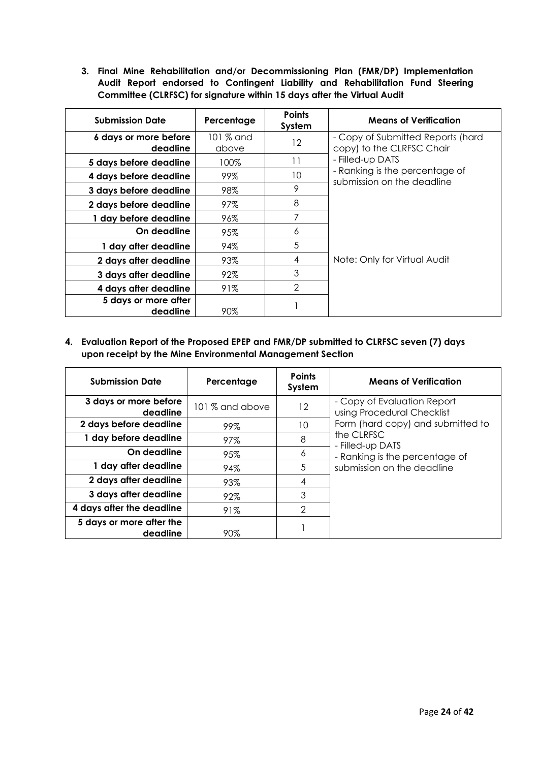**3. Final Mine Rehabilitation and/or Decommissioning Plan (FMR/DP) Implementation Audit Report endorsed to Contingent Liability and Rehabilitation Fund Steering Committee (CLRFSC) for signature within 15 days after the Virtual Audit**

| <b>Submission Date</b>            | Percentage         | <b>Points</b><br>System | <b>Means of Verification</b>                                   |
|-----------------------------------|--------------------|-------------------------|----------------------------------------------------------------|
| 6 days or more before<br>deadline | 101 % and<br>above | 12                      | - Copy of Submitted Reports (hard<br>copy) to the CLRFSC Chair |
| 5 days before deadline            | 100%               | 11                      | - Filled-up DATS                                               |
| 4 days before deadline            | 99%                | 10                      | - Ranking is the percentage of<br>submission on the deadline   |
| 3 days before deadline            | 98%                | 9                       |                                                                |
| 2 days before deadline            | 97%                | 8                       |                                                                |
| 1 day before deadline             | 96%                | 7                       |                                                                |
| On deadline                       | 95%                | 6                       |                                                                |
| 1 day after deadline              | 94%                | 5                       |                                                                |
| 2 days after deadline             | 93%                | 4                       | Note: Only for Virtual Audit                                   |
| 3 days after deadline             | 92%                | 3                       |                                                                |
| 4 days after deadline             | 91%                | $\overline{2}$          |                                                                |
| 5 days or more after<br>deadline  | 90%                |                         |                                                                |

**4. Evaluation Report of the Proposed EPEP and FMR/DP submitted to CLRFSC seven (7) days upon receipt by the Mine Environmental Management Section** 

| <b>Submission Date</b>               | Percentage      | <b>Points</b><br>System | <b>Means of Verification</b>                              |
|--------------------------------------|-----------------|-------------------------|-----------------------------------------------------------|
| 3 days or more before<br>deadline    | 101 % and above | 12                      | - Copy of Evaluation Report<br>using Procedural Checklist |
| 2 days before deadline               | 99%             | 10                      | Form (hard copy) and submitted to                         |
| 1 day before deadline                | 97%             | 8                       | the CLRFSC<br>- Filled-up DATS                            |
| On deadline                          | 95%             | 6                       | - Ranking is the percentage of                            |
| 1 day after deadline                 | 94%             | 5                       | submission on the deadline                                |
| 2 days after deadline                | 93%             | 4                       |                                                           |
| 3 days after deadline                | 92%             | 3                       |                                                           |
| 4 days after the deadline            | 91%             | $\mathcal{P}$           |                                                           |
| 5 days or more after the<br>deadline | 90%             |                         |                                                           |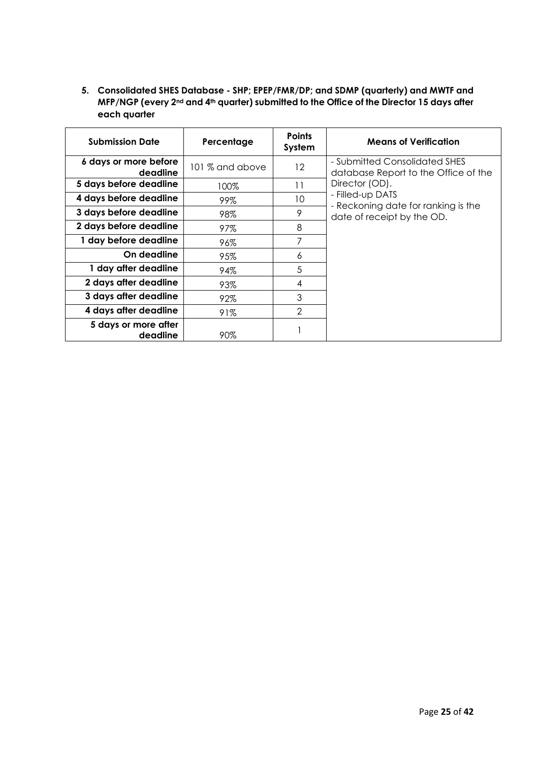**5. Consolidated SHES Database - SHP; EPEP/FMR/DP; and SDMP (quarterly) and MWTF and MFP/NGP (every 2nd and 4th quarter) submitted to the Office of the Director 15 days after each quarter**

| <b>Submission Date</b>            | Percentage      | <b>Points</b><br>System | <b>Means of Verification</b>                                          |
|-----------------------------------|-----------------|-------------------------|-----------------------------------------------------------------------|
| 6 days or more before<br>deadline | 101 % and above | $12 \,$                 | - Submitted Consolidated SHES<br>database Report to the Office of the |
| 5 days before deadline            | 100%            | 11                      | Director (OD).                                                        |
| 4 days before deadline            | 99%             | 10                      | - Filled-up DATS<br>- Reckoning date for ranking is the               |
| 3 days before deadline            | 98%             | 9                       | date of receipt by the OD.                                            |
| 2 days before deadline            | 97%             | 8                       |                                                                       |
| 1 day before deadline             | 96%             | 7                       |                                                                       |
| On deadline                       | 95%             | 6                       |                                                                       |
| 1 day after deadline              | 94%             | 5                       |                                                                       |
| 2 days after deadline             | 93%             | 4                       |                                                                       |
| 3 days after deadline             | 92%             | 3                       |                                                                       |
| 4 days after deadline             | 91%             | $\mathcal{P}$           |                                                                       |
| 5 days or more after<br>deadline  | 90%             |                         |                                                                       |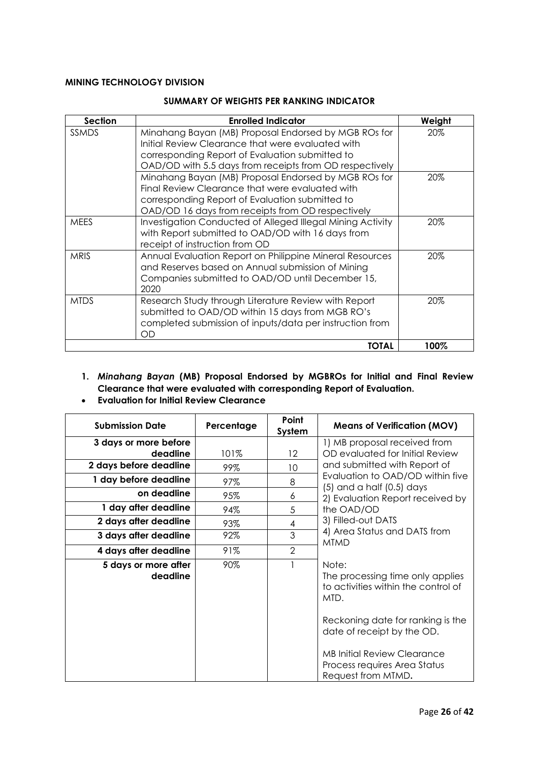### **MINING TECHNOLOGY DIVISION**

#### **SUMMARY OF WEIGHTS PER RANKING INDICATOR**

| <b>Section</b> | <b>Enrolled Indicator</b>                                                                                                                                                                                               | Weight |
|----------------|-------------------------------------------------------------------------------------------------------------------------------------------------------------------------------------------------------------------------|--------|
| <b>SSMDS</b>   | Minahang Bayan (MB) Proposal Endorsed by MGB ROs for<br>Initial Review Clearance that were evaluated with<br>corresponding Report of Evaluation submitted to<br>OAD/OD with 5.5 days from receipts from OD respectively | 20%    |
|                | Minahang Bayan (MB) Proposal Endorsed by MGB ROs for<br>Final Review Clearance that were evaluated with<br>corresponding Report of Evaluation submitted to<br>OAD/OD 16 days from receipts from OD respectively         | 20%    |
| <b>MEES</b>    | Investigation Conducted of Alleged Illegal Mining Activity<br>with Report submitted to OAD/OD with 16 days from<br>receipt of instruction from OD                                                                       | 20%    |
| <b>MRIS</b>    | Annual Evaluation Report on Philippine Mineral Resources<br>and Reserves based on Annual submission of Mining<br>Companies submitted to OAD/OD until December 15,<br>2020                                               | 20%    |
| <b>MTDS</b>    | Research Study through Literature Review with Report<br>submitted to OAD/OD within 15 days from MGB RO's<br>completed submission of inputs/data per instruction from<br>OD                                              | 20%    |
|                | TOTAL                                                                                                                                                                                                                   | 100%   |

## **1.** *Minahang Bayan* **(MB) Proposal Endorsed by MGBROs for Initial and Final Review Clearance that were evaluated with corresponding Report of Evaluation.**

| <b>Submission Date</b>           | Percentage | Point<br>System | <b>Means of Verification (MOV)</b>                                                                                                                          |  |
|----------------------------------|------------|-----------------|-------------------------------------------------------------------------------------------------------------------------------------------------------------|--|
| 3 days or more before            |            |                 | 1) MB proposal received from                                                                                                                                |  |
| deadline                         | 101%       | 12              | OD evaluated for Initial Review                                                                                                                             |  |
| 2 days before deadline           | 99%        | 10              | and submitted with Report of                                                                                                                                |  |
| 1 day before deadline            | 97%        | 8               | Evaluation to OAD/OD within five<br>$(5)$ and a half $(0.5)$ days                                                                                           |  |
| on deadline                      | 95%        | 6               | 2) Evaluation Report received by                                                                                                                            |  |
| 1 day after deadline             | 94%        | 5               | the OAD/OD                                                                                                                                                  |  |
| 2 days after deadline            | 93%        | 4               | 3) Filled-out DATS                                                                                                                                          |  |
| 3 days after deadline            | 92%        | 3               | 4) Area Status and DATS from<br><b>MTMD</b>                                                                                                                 |  |
| 4 days after deadline            | 91%        | $\overline{2}$  |                                                                                                                                                             |  |
| 5 days or more after<br>deadline | 90%        |                 | Note:<br>The processing time only applies<br>to activities within the control of<br>MTD.<br>Reckoning date for ranking is the<br>date of receipt by the OD. |  |
|                                  |            |                 | <b>MB Initial Review Clearance</b><br>Process requires Area Status<br>Request from MTMD.                                                                    |  |

• **Evaluation for Initial Review Clearance**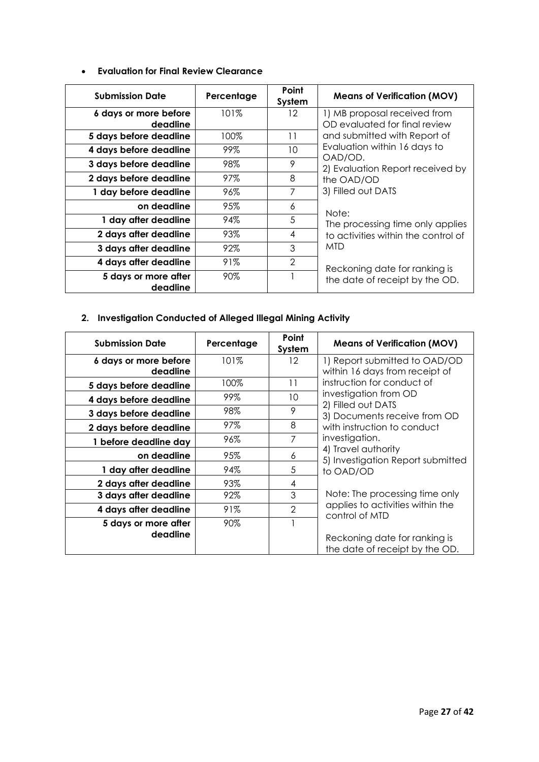| <b>Submission Date</b>           | Percentage | Point<br>System | <b>Means of Verification (MOV)</b>      |
|----------------------------------|------------|-----------------|-----------------------------------------|
| 6 days or more before            | 101%       | 12              | 1) MB proposal received from            |
| deadline                         |            |                 | OD evaluated for final review           |
| 5 days before deadline           | 100%       | 11              | and submitted with Report of            |
| 4 days before deadline           | 99%        | 10              | Evaluation within 16 days to<br>OAD/OD. |
| 3 days before deadline           | 98%        | 9               | 2) Evaluation Report received by        |
| 2 days before deadline           | 97%        | 8               | the OAD/OD                              |
| 1 day before deadline            | 96%        | 7               | 3) Filled out DATS                      |
| on deadline                      | 95%        | 6               | Note:                                   |
| 1 day after deadline             | 94%        | 5               | The processing time only applies        |
| 2 days after deadline            | 93%        | 4               | to activities within the control of     |
| 3 days after deadline            | 92%        | 3               | MTD                                     |
| 4 days after deadline            | 91%        | $\overline{2}$  | Reckoning date for ranking is           |
| 5 days or more after<br>deadline | 90%        |                 | the date of receipt by the OD.          |

# **2. Investigation Conducted of Alleged Illegal Mining Activity**

| <b>Submission Date</b> | Percentage | Point<br>System | <b>Means of Verification (MOV)</b>                       |
|------------------------|------------|-----------------|----------------------------------------------------------|
| 6 days or more before  | 101%       | 12              | 1) Report submitted to OAD/OD                            |
| deadline               |            |                 | within 16 days from receipt of                           |
| 5 days before deadline | 100%       | 11              | instruction for conduct of                               |
| 4 days before deadline | 99%        | 10              | investigation from OD<br>2) Filled out DATS              |
| 3 days before deadline | 98%        | 9               | 3) Documents receive from OD                             |
| 2 days before deadline | 97%        | 8               | with instruction to conduct                              |
| 1 before deadline day  | 96%        | 7               | investigation.                                           |
| on deadline            | 95%        | 6               | 4) Travel authority<br>5) Investigation Report submitted |
| 1 day after deadline   | 94%        | 5               | to OAD/OD                                                |
| 2 days after deadline  | 93%        | 4               |                                                          |
| 3 days after deadline  | 92%        | 3               | Note: The processing time only                           |
| 4 days after deadline  | 91%        | $\overline{2}$  | applies to activities within the<br>control of MTD       |
| 5 days or more after   | 90%        |                 |                                                          |
| deadline               |            |                 | Reckoning date for ranking is                            |
|                        |            |                 | the date of receipt by the OD.                           |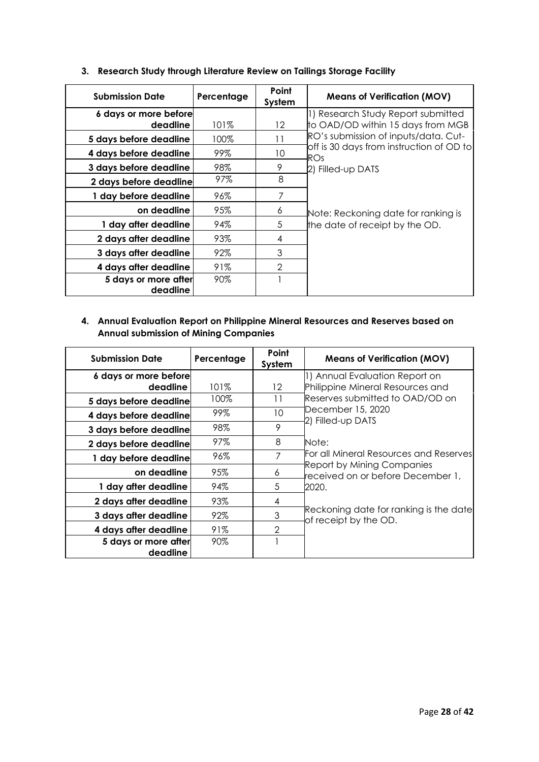| <b>Submission Date</b>           | Percentage | Point<br>System | <b>Means of Verification (MOV)</b>              |
|----------------------------------|------------|-----------------|-------------------------------------------------|
| 6 days or more before            |            |                 | 1) Research Study Report submitted              |
| deadline                         | 101%       | $12 \,$         | to OAD/OD within 15 days from MGB               |
| 5 days before deadline           | 100%       | 11              | RO's submission of inputs/data. Cut-            |
| 4 days before deadline           | 99%        | 10              | off is 30 days from instruction of OD to<br>ROs |
| 3 days before deadline           | 98%        | 9               | 2) Filled-up DATS                               |
| 2 days before deadline           | 97%        | 8               |                                                 |
| 1 day before deadline            | 96%        |                 |                                                 |
| on deadline                      | 95%        | 6               | Note: Reckoning date for ranking is             |
| 1 day after deadline             | 94%        | 5               | the date of receipt by the OD.                  |
| 2 days after deadline            | 93%        | 4               |                                                 |
| 3 days after deadline            | 92%        | 3               |                                                 |
| 4 days after deadline            | 91%        | $\mathfrak{D}$  |                                                 |
| 5 days or more after<br>deadline | 90%        |                 |                                                 |

## **3. Research Study through Literature Review on Tailings Storage Facility**

## **4. Annual Evaluation Report on Philippine Mineral Resources and Reserves based on Annual submission of Mining Companies**

| <b>Submission Date</b> | Percentage | Point<br>System | <b>Means of Verification (MOV)</b>                                     |
|------------------------|------------|-----------------|------------------------------------------------------------------------|
| 6 days or more before  |            |                 | 1) Annual Evaluation Report on                                         |
| deadline               | 101%       | $12 \,$         | Philippine Mineral Resources and                                       |
| 5 days before deadline | 100%       | 11              | Reserves submitted to OAD/OD on                                        |
| 4 days before deadline | 99%        | 10              | December 15, 2020<br>2) Filled-up DATS                                 |
| 3 days before deadline | 98%        | 9               |                                                                        |
| 2 days before deadline | 97%        | 8               | Note:                                                                  |
| 1 day before deadline  | 96%        | 7               | For all Mineral Resources and Reserves                                 |
| on deadline            | 95%        | 6               | <b>Report by Mining Companies</b><br>received on or before December 1, |
| 1 day after deadline   | 94%        | 5               | 2020.                                                                  |
| 2 days after deadline  | 93%        | 4               |                                                                        |
| 3 days after deadline  | 92%        | 3               | Reckoning date for ranking is the date<br>of receipt by the OD.        |
| 4 days after deadline  | 91%        | $\overline{2}$  |                                                                        |
| 5 days or more after   | 90%        |                 |                                                                        |
| deadline               |            |                 |                                                                        |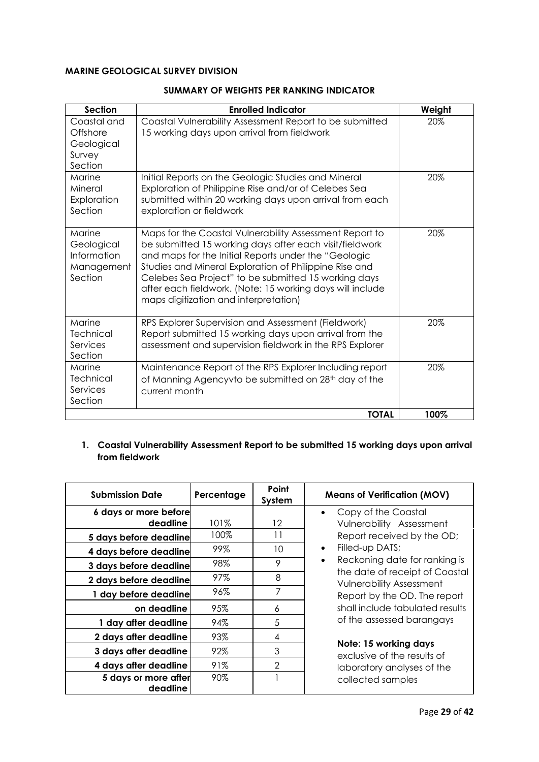## **MARINE GEOLOGICAL SURVEY DIVISION**

| <b>Section</b>                                               | <b>Enrolled Indicator</b>                                                                                                                                                                                                                                                                                                                                                                          | Weight |
|--------------------------------------------------------------|----------------------------------------------------------------------------------------------------------------------------------------------------------------------------------------------------------------------------------------------------------------------------------------------------------------------------------------------------------------------------------------------------|--------|
| Coastal and<br>Offshore<br>Geological<br>Survey<br>Section   | Coastal Vulnerability Assessment Report to be submitted<br>15 working days upon arrival from fieldwork                                                                                                                                                                                                                                                                                             | 20%    |
| Marine<br>Mineral<br>Exploration<br>Section                  | Initial Reports on the Geologic Studies and Mineral<br>Exploration of Philippine Rise and/or of Celebes Sea<br>submitted within 20 working days upon arrival from each<br>exploration or fieldwork                                                                                                                                                                                                 | 20%    |
| Marine<br>Geological<br>Information<br>Management<br>Section | Maps for the Coastal Vulnerability Assessment Report to<br>be submitted 15 working days after each visit/fieldwork<br>and maps for the Initial Reports under the "Geologic<br>Studies and Mineral Exploration of Philippine Rise and<br>Celebes Sea Project" to be submitted 15 working days<br>after each fieldwork. (Note: 15 working days will include<br>maps digitization and interpretation) | 20%    |
| Marine<br>Technical<br>Services<br>Section                   | RPS Explorer Supervision and Assessment (Fieldwork)<br>Report submitted 15 working days upon arrival from the<br>assessment and supervision fieldwork in the RPS Explorer                                                                                                                                                                                                                          | 20%    |
| Marine<br>Technical<br>Services<br>Section                   | Maintenance Report of the RPS Explorer Including report<br>of Manning Agencyvto be submitted on 28 <sup>th</sup> day of the<br>current month                                                                                                                                                                                                                                                       | 20%    |
|                                                              | <b>TOTAL</b>                                                                                                                                                                                                                                                                                                                                                                                       | 100%   |

#### **SUMMARY OF WEIGHTS PER RANKING INDICATOR**

## **1. Coastal Vulnerability Assessment Report to be submitted 15 working days upon arrival from fieldwork**

| <b>Submission Date</b>           | Percentage | Point<br>System | <b>Means of Verification (MOV)</b>                                |
|----------------------------------|------------|-----------------|-------------------------------------------------------------------|
| 6 days or more before            |            |                 | Copy of the Coastal<br>$\bullet$                                  |
| deadline                         | 101%       | $12 \,$         | Vulnerability Assessment                                          |
| 5 days before deadline           | 100%       | 11              | Report received by the OD;                                        |
| 4 days before deadline           | 99%        | 10              | Filled-up DATS;<br>$\bullet$                                      |
| 3 days before deadline           | 98%        | 9               | Reckoning date for ranking is<br>$\bullet$                        |
| 2 days before deadline           | 97%        | 8               | the date of receipt of Coastal<br><b>Vulnerability Assessment</b> |
| 1 day before deadline            | 96%        | 7               | Report by the OD. The report                                      |
| on deadline                      | 95%        | 6               | shall include tabulated results                                   |
| 1 day after deadline             | 94%        | 5               | of the assessed barangays                                         |
| 2 days after deadline            | 93%        | 4               |                                                                   |
| 3 days after deadline            | 92%        | 3               | Note: 15 working days<br>exclusive of the results of              |
| 4 days after deadline            | 91%        | 2               | laboratory analyses of the                                        |
| 5 days or more after<br>deadline | 90%        |                 | collected samples                                                 |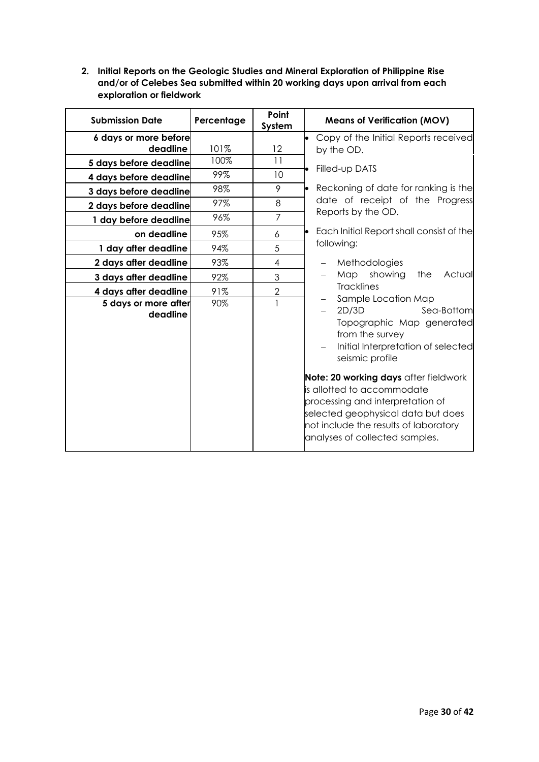**2. Initial Reports on the Geologic Studies and Mineral Exploration of Philippine Rise and/or of Celebes Sea submitted within 20 working days upon arrival from each exploration or fieldwork**

| <b>Submission Date</b>           | Percentage | Point<br>System | <b>Means of Verification (MOV)</b>                                                                                                                                                                                                                                             |
|----------------------------------|------------|-----------------|--------------------------------------------------------------------------------------------------------------------------------------------------------------------------------------------------------------------------------------------------------------------------------|
| 6 days or more before            |            |                 | Copy of the Initial Reports received                                                                                                                                                                                                                                           |
| deadline                         | 101%       | 12              | by the OD.                                                                                                                                                                                                                                                                     |
| 5 days before deadline           | 100%       | 11              | Filled-up DATS                                                                                                                                                                                                                                                                 |
| 4 days before deadline           | 99%        | 10              |                                                                                                                                                                                                                                                                                |
| 3 days before deadline           | 98%        | 9               | Reckoning of date for ranking is the                                                                                                                                                                                                                                           |
| 2 days before deadline           | 97%        | 8               | date of receipt of the Progress<br>Reports by the OD.                                                                                                                                                                                                                          |
| 1 day before deadline            | 96%        | $\overline{7}$  |                                                                                                                                                                                                                                                                                |
| on deadline                      | 95%        | 6               | Each Initial Report shall consist of the                                                                                                                                                                                                                                       |
| 1 day after deadline             | 94%        | 5               | following:                                                                                                                                                                                                                                                                     |
| 2 days after deadline            | 93%        | 4               | Methodologies<br>$\overline{\phantom{m}}$                                                                                                                                                                                                                                      |
| 3 days after deadline            | 92%        | 3               | Map showing<br>the<br>Actual                                                                                                                                                                                                                                                   |
| 4 days after deadline            | 91%        | $\overline{2}$  | <b>Tracklines</b><br>Sample Location Map                                                                                                                                                                                                                                       |
| 5 days or more after<br>deadline | 90%        | $\mathbf{1}$    | 2D/3D<br>Sea-Bottom<br>Topographic Map generated<br>from the survey<br>Initial Interpretation of selected<br>seismic profile<br>Note: 20 working days after fieldwork<br>lis allotted to accommodate<br>processing and interpretation of<br>selected geophysical data but does |
|                                  |            |                 | not include the results of laboratory<br>analyses of collected samples.                                                                                                                                                                                                        |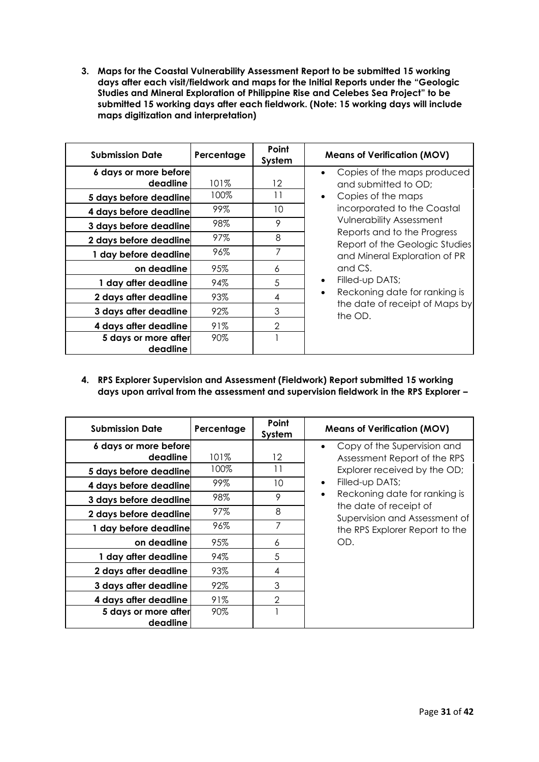**3. Maps for the Coastal Vulnerability Assessment Report to be submitted 15 working days after each visit/fieldwork and maps for the Initial Reports under the "Geologic Studies and Mineral Exploration of Philippine Rise and Celebes Sea Project" to be submitted 15 working days after each fieldwork. (Note: 15 working days will include maps digitization and interpretation)**

| <b>Submission Date</b>           | Percentage | Point<br>System | <b>Means of Verification (MOV)</b>                             |
|----------------------------------|------------|-----------------|----------------------------------------------------------------|
| 6 days or more before            |            |                 | Copies of the maps produced                                    |
| deadline                         | 101%       | 12              | and submitted to OD;                                           |
| 5 days before deadline           | 100%       | 11              | Copies of the maps                                             |
| 4 days before deadline           | 99%        | 10              | incorporated to the Coastal                                    |
| 3 days before deadline           | 98%        | 9               | <b>Vulnerability Assessment</b><br>Reports and to the Progress |
| 2 days before deadline           | 97%        | 8               | Report of the Geologic Studies                                 |
| 1 day before deadline            | 96%        | 7               | and Mineral Exploration of PR                                  |
| on deadline                      | 95%        | 6               | and CS.                                                        |
| 1 day after deadline             | 94%        | 5               | Filled-up DATS;<br>$\bullet$                                   |
| 2 days after deadline            | 93%        | 4               | Reckoning date for ranking is<br>$\bullet$                     |
| 3 days after deadline            | 92%        | 3               | the date of receipt of Maps by<br>the OD.                      |
| 4 days after deadline            | 91%        | $\overline{2}$  |                                                                |
| 5 days or more after<br>deadline | 90%        |                 |                                                                |

**4. RPS Explorer Supervision and Assessment (Fieldwork) Report submitted 15 working days upon arrival from the assessment and supervision fieldwork in the RPS Explorer –**

| <b>Submission Date</b> | Percentage | Point<br>System | <b>Means of Verification (MOV)</b>                      |
|------------------------|------------|-----------------|---------------------------------------------------------|
| 6 days or more before  |            |                 | Copy of the Supervision and                             |
| deadline               | 101%       | 12              | Assessment Report of the RPS                            |
| 5 days before deadline | 100%       | 11              | Explorer received by the OD;                            |
| 4 days before deadline | 99%        | 10              | Filled-up DATS;<br>$\bullet$                            |
| 3 days before deadline | 98%        | 9               | Reckoning date for ranking is                           |
| 2 days before deadline | 97%        | 8               | the date of receipt of<br>Supervision and Assessment of |
| 1 day before deadline  | 96%        | 7               | the RPS Explorer Report to the                          |
| on deadline            | 95%        | 6               | OD.                                                     |
| 1 day after deadline   | 94%        | 5               |                                                         |
| 2 days after deadline  | 93%        | 4               |                                                         |
| 3 days after deadline  | 92%        | 3               |                                                         |
| 4 days after deadline  | 91%        | 2               |                                                         |
| 5 days or more after   | 90%        |                 |                                                         |
| deadline               |            |                 |                                                         |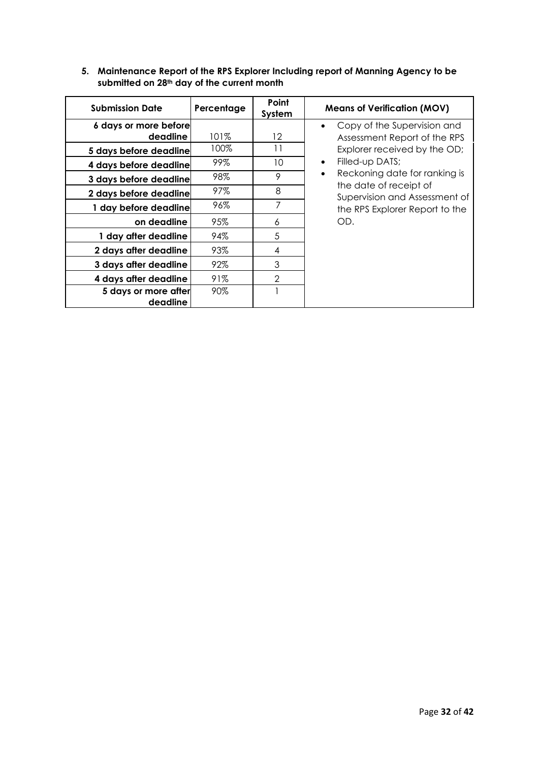## **5. Maintenance Report of the RPS Explorer Including report of Manning Agency to be submitted on 28th day of the current month**

| <b>Submission Date</b> | Percentage | Point<br>System | <b>Means of Verification (MOV)</b>                      |
|------------------------|------------|-----------------|---------------------------------------------------------|
| 6 days or more before  |            |                 | Copy of the Supervision and<br>$\bullet$                |
| deadline               | 101%       | 12              | Assessment Report of the RPS                            |
| 5 days before deadline | 100%       | 11              | Explorer received by the OD;                            |
| 4 days before deadline | 99%        | 10              | Filled-up DATS;<br>$\bullet$                            |
| 3 days before deadline | 98%        | 9               | Reckoning date for ranking is<br>$\bullet$              |
| 2 days before deadline | 97%        | 8               | the date of receipt of<br>Supervision and Assessment of |
| 1 day before deadline  | 96%        | 7               | the RPS Explorer Report to the                          |
| on deadline            | 95%        | 6               | OD.                                                     |
| 1 day after deadline   | 94%        | 5               |                                                         |
| 2 days after deadline  | 93%        | 4               |                                                         |
| 3 days after deadline  | 92%        | 3               |                                                         |
| 4 days after deadline  | 91%        | 2               |                                                         |
| 5 days or more after   | 90%        |                 |                                                         |
| deadline               |            |                 |                                                         |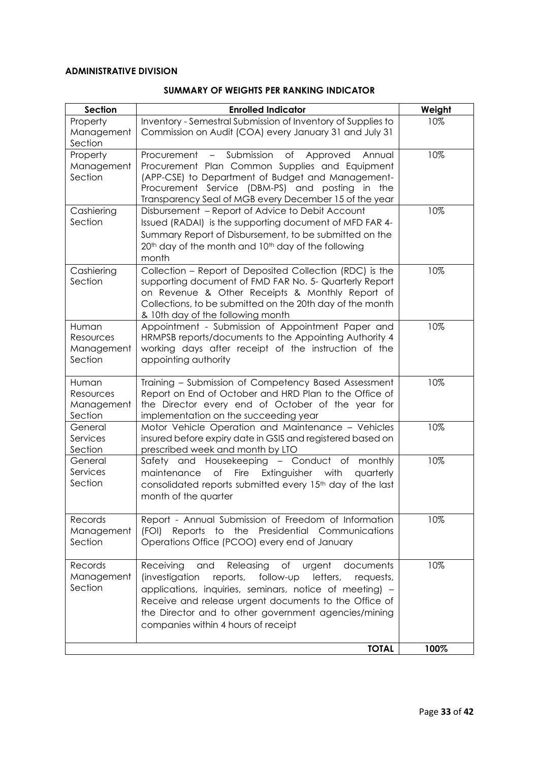## **ADMINISTRATIVE DIVISION**

### **SUMMARY OF WEIGHTS PER RANKING INDICATOR**

| <b>Section</b>                              | <b>Enrolled Indicator</b>                                                                                                                                                                                                                                                                                                                      | Weight |
|---------------------------------------------|------------------------------------------------------------------------------------------------------------------------------------------------------------------------------------------------------------------------------------------------------------------------------------------------------------------------------------------------|--------|
| Property<br>Management<br>Section           | Inventory - Semestral Submission of Inventory of Supplies to<br>Commission on Audit (COA) every January 31 and July 31                                                                                                                                                                                                                         | 10%    |
| Property<br>Management<br>Section           | - Submission<br>of<br>Procurement<br>Approved<br>Annual<br>Procurement Plan Common Supplies and Equipment<br>(APP-CSE) to Department of Budget and Management-<br>Procurement Service (DBM-PS) and posting in the<br>Transparency Seal of MGB every December 15 of the year                                                                    | 10%    |
| Cashiering<br>Section                       | Disbursement - Report of Advice to Debit Account<br>Issued (RADAI) is the supporting document of MFD FAR 4-<br>Summary Report of Disbursement, to be submitted on the<br>20 <sup>th</sup> day of the month and 10 <sup>th</sup> day of the following<br>month                                                                                  | 10%    |
| Cashiering<br>Section                       | Collection - Report of Deposited Collection (RDC) is the<br>supporting document of FMD FAR No. 5- Quarterly Report<br>on Revenue & Other Receipts & Monthly Report of<br>Collections, to be submitted on the 20th day of the month<br>& 10th day of the following month                                                                        | 10%    |
| Human<br>Resources<br>Management<br>Section | Appointment - Submission of Appointment Paper and<br>HRMPSB reports/documents to the Appointing Authority 4<br>working days after receipt of the instruction of the<br>appointing authority                                                                                                                                                    | 10%    |
| Human<br>Resources<br>Management<br>Section | Training - Submission of Competency Based Assessment<br>Report on End of October and HRD Plan to the Office of<br>the Director every end of October of the year for<br>implementation on the succeeding year                                                                                                                                   | 10%    |
| General<br>Services<br>Section              | Motor Vehicle Operation and Maintenance - Vehicles<br>insured before expiry date in GSIS and registered based on<br>prescribed week and month by LTO                                                                                                                                                                                           | 10%    |
| General<br>Services<br>Section              | Safety and Housekeeping - Conduct of<br>monthly<br>of Fire<br>Extinguisher with<br>maintenance<br>quarterly<br>consolidated reports submitted every 15 <sup>th</sup> day of the last<br>month of the quarter                                                                                                                                   | 10%    |
| Records<br>Management<br>Section            | Report - Annual Submission of Freedom of Information<br>Presidential Communications<br>(FOI)<br>Reports<br>to the<br>Operations Office (PCOO) every end of January                                                                                                                                                                             | 10%    |
| Records<br>Management<br>Section            | Releasing of<br>Receiving<br>urgent<br>and<br>documents<br>letters,<br>(investigation<br>reports,<br>follow-up<br>requests,<br>applications, inquiries, seminars, notice of meeting) -<br>Receive and release urgent documents to the Office of<br>the Director and to other government agencies/mining<br>companies within 4 hours of receipt | 10%    |
|                                             | <b>TOTAL</b>                                                                                                                                                                                                                                                                                                                                   | 100%   |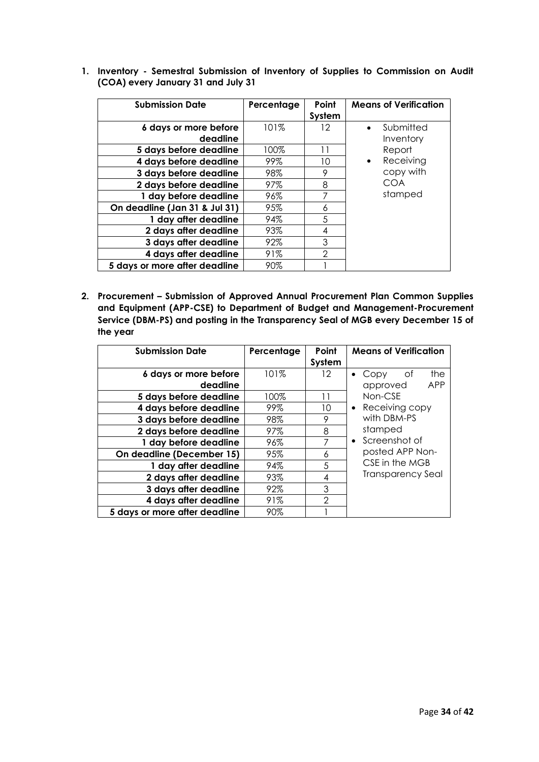| <b>Submission Date</b>            | Percentage | Point<br>System | <b>Means of Verification</b>        |
|-----------------------------------|------------|-----------------|-------------------------------------|
| 6 days or more before<br>deadline | 101%       | 12              | Submitted<br>$\bullet$<br>Inventory |
| 5 days before deadline            | 100%       | 11              | Report                              |
| 4 days before deadline            | 99%        | 10              | Receiving<br>$\bullet$              |
| 3 days before deadline            | 98%        | 9               | copy with                           |
| 2 days before deadline            | 97%        | 8               | <b>COA</b>                          |
| 1 day before deadline             | 96%        | 7               | stamped                             |
| On deadline (Jan 31 & Jul 31)     | 95%        | 6               |                                     |
| 1 day after deadline              | 94%        | 5               |                                     |
| 2 days after deadline             | 93%        | 4               |                                     |
| 3 days after deadline             | 92%        | 3               |                                     |
| 4 days after deadline             | 91%        | $\mathcal{P}$   |                                     |
| 5 days or more after deadline     | 90%        |                 |                                     |

**1. Inventory - Semestral Submission of Inventory of Supplies to Commission on Audit (COA) every January 31 and July 31**

**2. Procurement – Submission of Approved Annual Procurement Plan Common Supplies and Equipment (APP-CSE) to Department of Budget and Management-Procurement Service (DBM-PS) and posting in the Transparency Seal of MGB every December 15 of the year**

| <b>Submission Date</b>        | Percentage | Point          | <b>Means of Verification</b>   |
|-------------------------------|------------|----------------|--------------------------------|
|                               |            | System         |                                |
| 6 days or more before         | 101%       | $12 \,$        | the<br>Οf<br>Copy<br>$\bullet$ |
| deadline                      |            |                | <b>APP</b><br>approved         |
| 5 days before deadline        | 100%       | 11             | Non-CSE                        |
| 4 days before deadline        | 99%        | 10             | Receiving copy<br>$\bullet$    |
| 3 days before deadline        | 98%        | 9              | with DBM-PS                    |
| 2 days before deadline        | 97%        | 8              | stamped                        |
| 1 day before deadline         | 96%        | 7              | Screenshot of<br>$\bullet$     |
| On deadline (December 15)     | 95%        | 6              | posted APP Non-                |
| 1 day after deadline          | 94%        | 5              | CSE in the MGB                 |
| 2 days after deadline         | 93%        | 4              | Transparency Seal              |
| 3 days after deadline         | 92%        | 3              |                                |
| 4 days after deadline         | 91%        | $\overline{2}$ |                                |
| 5 days or more after deadline | 90%        |                |                                |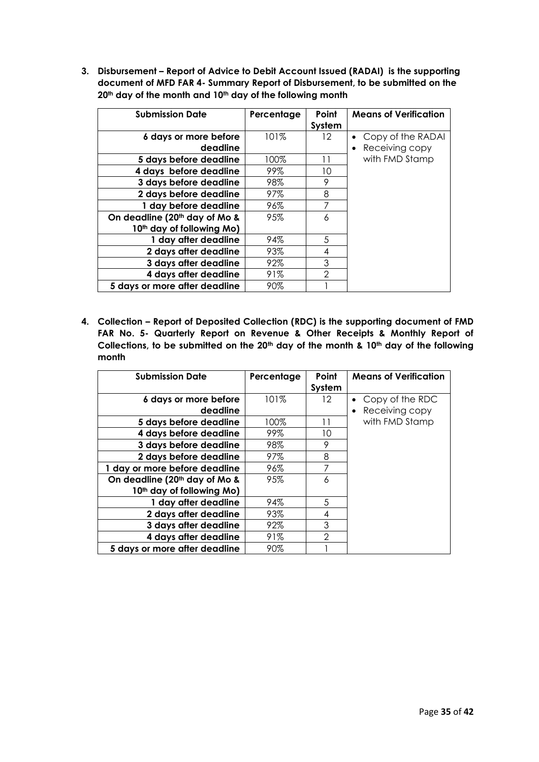**3. Disbursement – Report of Advice to Debit Account Issued (RADAI) is the supporting document of MFD FAR 4- Summary Report of Disbursement, to be submitted on the 20th day of the month and 10th day of the following month**

| <b>Submission Date</b>                | Percentage | Point          | <b>Means of Verification</b> |
|---------------------------------------|------------|----------------|------------------------------|
|                                       |            | System         |                              |
| 6 days or more before                 | 101%       | $12 \,$        | Copy of the RADAI            |
| deadline                              |            |                | Receiving copy               |
| 5 days before deadline                | 100%       | 11             | with FMD Stamp               |
| 4 days before deadline                | 99%        | 10             |                              |
| 3 days before deadline                | 98%        | 9              |                              |
| 2 days before deadline                | 97%        | 8              |                              |
| 1 day before deadline                 | 96%        | 7              |                              |
| On deadline (20th day of Mo &         | 95%        | 6              |                              |
| 10 <sup>th</sup> day of following Mo) |            |                |                              |
| 1 day after deadline                  | 94%        | 5              |                              |
| 2 days after deadline                 | 93%        | 4              |                              |
| 3 days after deadline                 | 92%        | 3              |                              |
| 4 days after deadline                 | 91%        | $\mathfrak{D}$ |                              |
| 5 days or more after deadline         | 90%        |                |                              |

**4. Collection – Report of Deposited Collection (RDC) is the supporting document of FMD FAR No. 5- Quarterly Report on Revenue & Other Receipts & Monthly Report of Collections, to be submitted on the 20th day of the month & 10th day of the following month**

| <b>Submission Date</b>                    | Percentage | Point<br>System | <b>Means of Verification</b> |
|-------------------------------------------|------------|-----------------|------------------------------|
| 6 days or more before                     | 101%       | 12              | Copy of the RDC              |
| deadline                                  |            |                 | Receiving copy               |
| 5 days before deadline                    | 100%       | 11              | with FMD Stamp               |
| 4 days before deadline                    | 99%        | 10              |                              |
| 3 days before deadline                    | 98%        | 9               |                              |
| 2 days before deadline                    | 97%        | 8               |                              |
| 1 day or more before deadline             | 96%        | 7               |                              |
| On deadline (20 <sup>th</sup> day of Mo & | 95%        | 6               |                              |
| 10 <sup>th</sup> day of following Mo)     |            |                 |                              |
| 1 day after deadline                      | 94%        | 5               |                              |
| 2 days after deadline                     | 93%        | 4               |                              |
| 3 days after deadline                     | 92%        | 3               |                              |
| 4 days after deadline                     | 91%        | $\overline{2}$  |                              |
| 5 days or more after deadline             | 90%        |                 |                              |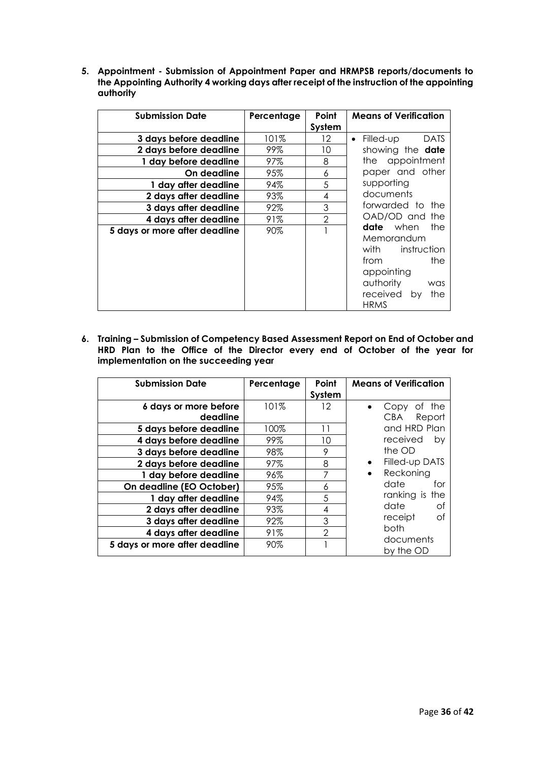**5. Appointment - Submission of Appointment Paper and HRMPSB reports/documents to the Appointing Authority 4 working days after receipt of the instruction of the appointing authority**

| <b>Submission Date</b>        | Percentage | Point          | <b>Means of Verification</b>          |
|-------------------------------|------------|----------------|---------------------------------------|
|                               |            | System         |                                       |
| 3 days before deadline        | 101%       | 12             | Filled-up<br><b>DATS</b><br>$\bullet$ |
| 2 days before deadline        | 99%        | 10             | showing the date                      |
| 1 day before deadline         | 97%        | 8              | the appointment                       |
| On deadline                   | 95%        | 6              | paper and other                       |
| 1 day after deadline          | 94%        | 5              | supporting                            |
| 2 days after deadline         | 93%        | 4              | documents                             |
| 3 days after deadline         | 92%        | 3              | forwarded to the                      |
| 4 days after deadline         | 91%        | $\overline{2}$ | OAD/OD and the                        |
| 5 days or more after deadline | 90%        |                | <b>date</b> when<br>the               |
|                               |            |                | Memorandum                            |
|                               |            |                | instruction<br>with                   |
|                               |            |                | from<br>the                           |
|                               |            |                | appointing                            |
|                               |            |                | authority<br>was                      |
|                               |            |                | received<br>the<br>by                 |
|                               |            |                | <b>HRMS</b>                           |

**6. Training – Submission of Competency Based Assessment Report on End of October and HRD Plan to the Office of the Director every end of October of the year for implementation on the succeeding year**

| <b>Submission Date</b>        | Percentage | Point          | <b>Means of Verification</b> |
|-------------------------------|------------|----------------|------------------------------|
|                               |            | System         |                              |
| 6 days or more before         | 101%       | 12             | Οf<br>the<br>Copy            |
| deadline                      |            |                | <b>CBA</b><br>Report         |
| 5 days before deadline        | 100%       | 11             | and HRD Plan                 |
| 4 days before deadline        | 99%        | 10             | received<br>by               |
| 3 days before deadline        | 98%        | 9              | the OD                       |
| 2 days before deadline        | 97%        | 8              | Filled-up DATS<br>$\bullet$  |
| 1 day before deadline         | 96%        | 7              | Reckoning<br>$\bullet$       |
| On deadline (EO October)      | 95%        | 6              | date<br>for                  |
| 1 day after deadline          | 94%        | 5              | ranking is the               |
| 2 days after deadline         | 93%        | 4              | date<br>Οf                   |
| 3 days after deadline         | 92%        | 3              | Οf<br>receipt                |
| 4 days after deadline         | 91%        | $\overline{2}$ | both                         |
| 5 days or more after deadline | 90%        |                | documents<br>by the OD       |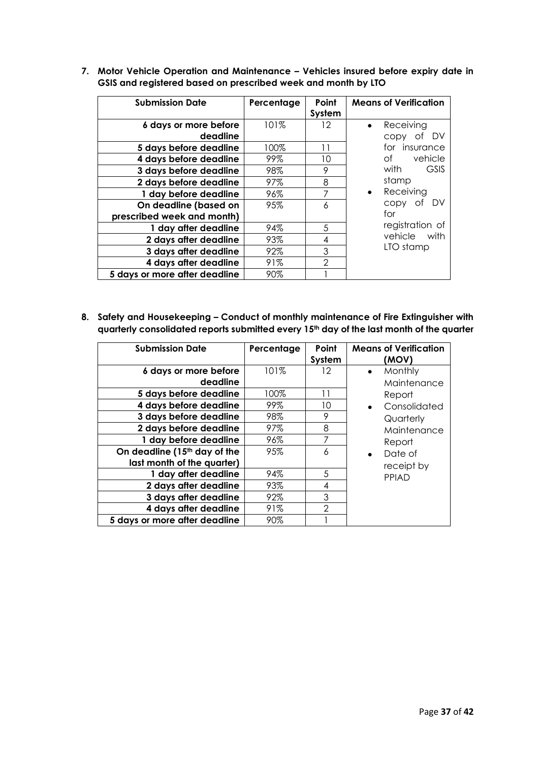| <b>Submission Date</b>        | Percentage | Point         | <b>Means of Verification</b> |
|-------------------------------|------------|---------------|------------------------------|
|                               |            | System        |                              |
| 6 days or more before         | 101%       | 12            | Receiving<br>$\bullet$       |
| deadline                      |            |               | . DV<br>CODY<br>0t           |
| 5 days before deadline        | 100%       | 11            | for insurance                |
| 4 days before deadline        | 99%        | 10            | vehicle<br>of                |
| 3 days before deadline        | 98%        | 9             | <b>GSIS</b><br>with          |
| 2 days before deadline        | 97%        | 8             | stamp                        |
| 1 day before deadline         | 96%        | 7             | Receiving<br>$\bullet$       |
| On deadline (based on         | 95%        | 6             | copy of DV                   |
| prescribed week and month)    |            |               | for                          |
| 1 day after deadline          | 94%        | 5             | registration of              |
| 2 days after deadline         | 93%        | 4             | vehicle<br>with              |
| 3 days after deadline         | 92%        | 3             | LTO stamp                    |
| 4 days after deadline         | 91%        | $\mathcal{P}$ |                              |
| 5 days or more after deadline | 90%        |               |                              |

**7. Motor Vehicle Operation and Maintenance – Vehicles insured before expiry date in GSIS and registered based on prescribed week and month by LTO**

**8. Safety and Housekeeping – Conduct of monthly maintenance of Fire Extinguisher with quarterly consolidated reports submitted every 15th day of the last month of the quarter**

| <b>Submission Date</b>        | Percentage | Point<br>System | <b>Means of Verification</b><br>(MOV) |
|-------------------------------|------------|-----------------|---------------------------------------|
| 6 days or more before         | 101%       | 12              | Monthly<br>$\bullet$                  |
| deadline                      |            |                 | Maintenance                           |
| 5 days before deadline        | 100%       | 11              | Report                                |
| 4 days before deadline        | 99%        | 10              | Consolidated                          |
| 3 days before deadline        | 98%        | 9               | Quarterly                             |
| 2 days before deadline        | 97%        | 8               | Maintenance                           |
| 1 day before deadline         | 96%        | 7               | Report                                |
| On deadline (15th day of the  | 95%        | 6               | Date of<br>$\bullet$                  |
| last month of the quarter)    |            |                 | receipt by                            |
| 1 day after deadline          | 94%        | 5               | PPIAD                                 |
| 2 days after deadline         | 93%        | 4               |                                       |
| 3 days after deadline         | 92%        | 3               |                                       |
| 4 days after deadline         | 91%        | $\overline{2}$  |                                       |
| 5 days or more after deadline | 90%        |                 |                                       |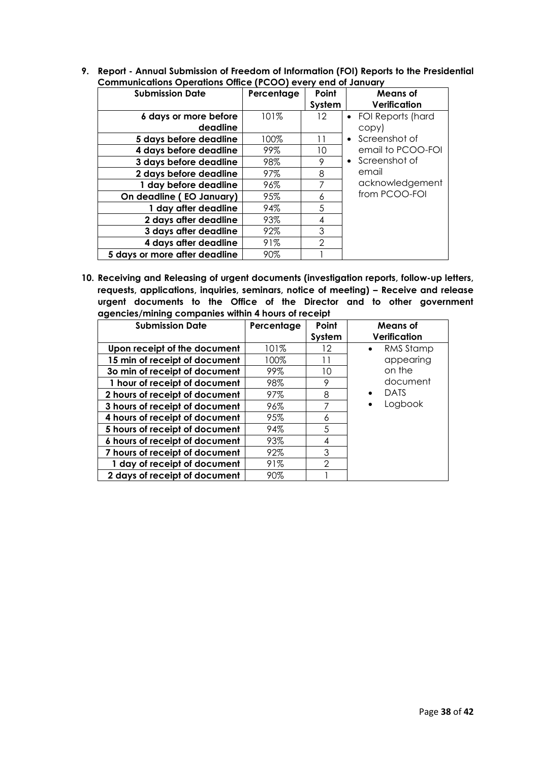**9. Report - Annual Submission of Freedom of Information (FOI) Reports to the Presidential Communications Operations Office (PCOO) every end of January**

| <b>Submission Date</b>            | Percentage | Point<br>System | <b>Means of</b><br>Verification |
|-----------------------------------|------------|-----------------|---------------------------------|
| 6 days or more before<br>deadline | 101%       | 12.             | • FOI Reports (hard<br>copy)    |
| 5 days before deadline            | 100%       | 11              | Screenshot of<br>$\bullet$      |
| 4 days before deadline            | 99%        | 10              | email to PCOO-FOI               |
| 3 days before deadline            | 98%        | 9               | • Screenshot of                 |
| 2 days before deadline            | 97%        | 8               | email                           |
| 1 day before deadline             | 96%        | 7               | acknowledgement                 |
| On deadline (EO January)          | 95%        | 6               | from PCOO-FOI                   |
| 1 day after deadline              | 94%        | 5               |                                 |
| 2 days after deadline             | 93%        | 4               |                                 |
| 3 days after deadline             | 92%        | 3               |                                 |
| 4 days after deadline             | 91%        | $\mathfrak{D}$  |                                 |
| 5 days or more after deadline     | 90%        |                 |                                 |

**10. Receiving and Releasing of urgent documents (investigation reports, follow-up letters, requests, applications, inquiries, seminars, notice of meeting) – Receive and release urgent documents to the Office of the Director and to other government agencies/mining companies within 4 hours of receipt**

| <b>Submission Date</b>         | Percentage | Point          | Means of               |
|--------------------------------|------------|----------------|------------------------|
|                                |            | System         | Verification           |
| Upon receipt of the document   | 101%       | 12             | RMS Stamp<br>$\bullet$ |
| 15 min of receipt of document  | 100%       | 11             | appearing              |
| 30 min of receipt of document  | 99%        | 10             | on the                 |
| 1 hour of receipt of document  | 98%        | 9              | document               |
| 2 hours of receipt of document | 97%        | 8              | <b>DATS</b>            |
| 3 hours of receipt of document | 96%        | 7              | Logbook                |
| 4 hours of receipt of document | 95%        | 6              |                        |
| 5 hours of receipt of document | 94%        | 5              |                        |
| 6 hours of receipt of document | 93%        | 4              |                        |
| 7 hours of receipt of document | 92%        | 3              |                        |
| 1 day of receipt of document   | 91%        | $\overline{2}$ |                        |
| 2 days of receipt of document  | 90%        |                |                        |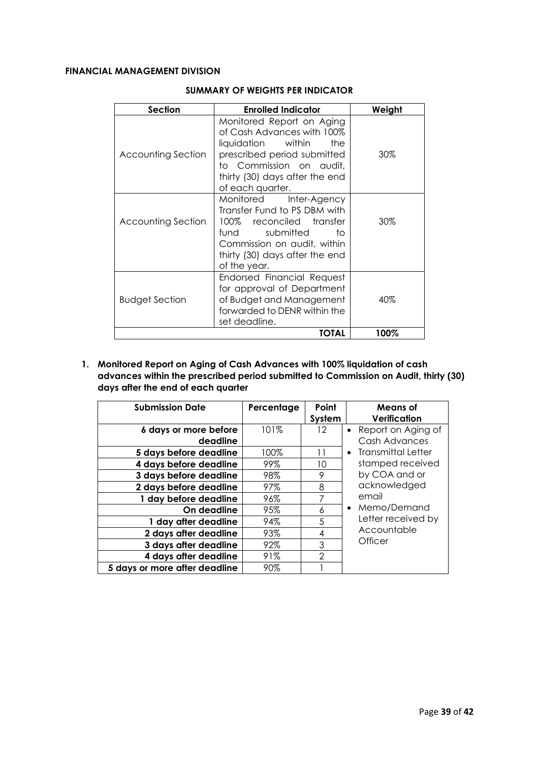#### **FINANCIAL MANAGEMENT DIVISION**

| Section               | <b>Enrolled Indicator</b>                                                                                                                                                                               | Weight |
|-----------------------|---------------------------------------------------------------------------------------------------------------------------------------------------------------------------------------------------------|--------|
| Accounting Section    | Monitored Report on Aging<br>of Cash Advances with 100%<br>liquidation<br>within<br>the<br>prescribed period submitted<br>to Commission on audit,<br>thirty (30) days after the end<br>of each quarter. | 30%    |
| Accounting Section    | Monitored<br>Inter-Agency<br>Transfer Fund to PS DBM with<br>100% reconciled transfer<br>fund<br>submitted<br>tο<br>Commission on audit, within<br>thirty (30) days after the end<br>of the year.       | 30%    |
| <b>Budget Section</b> | Endorsed Financial Request<br>for approval of Department<br>of Budget and Management<br>forwarded to DENR within the<br>set deadline.                                                                   | 40%    |
|                       | TOTAL                                                                                                                                                                                                   | 100%   |

#### **SUMMARY OF WEIGHTS PER INDICATOR**

**1. Monitored Report on Aging of Cash Advances with 100% liquidation of cash advances within the prescribed period submitted to Commission on Audit, thirty (30) days after the end of each quarter**

| <b>Submission Date</b>            | Percentage | Point<br>System | Means of<br>Verification            |
|-----------------------------------|------------|-----------------|-------------------------------------|
| 6 days or more before<br>deadline | 101%       | 12              | Report on Aging of<br>Cash Advances |
| 5 days before deadline            | 100%       | 11              | Transmittal Letter<br>$\bullet$     |
| 4 days before deadline            | 99%        | 10              | stamped received                    |
| 3 days before deadline            | 98%        | 9               | by COA and or                       |
| 2 days before deadline            | 97%        | 8               | acknowledged                        |
| 1 day before deadline             | 96%        | 7               | email                               |
| On deadline                       | 95%        | 6               | Memo/Demand<br>$\bullet$            |
| 1 day after deadline              | 94%        | 5               | Letter received by                  |
| 2 days after deadline             | 93%        | 4               | Accountable                         |
| 3 days after deadline             | 92%        | 3               | Officer                             |
| 4 days after deadline             | 91%        | $\mathfrak{D}$  |                                     |
| 5 days or more after deadline     | 90%        |                 |                                     |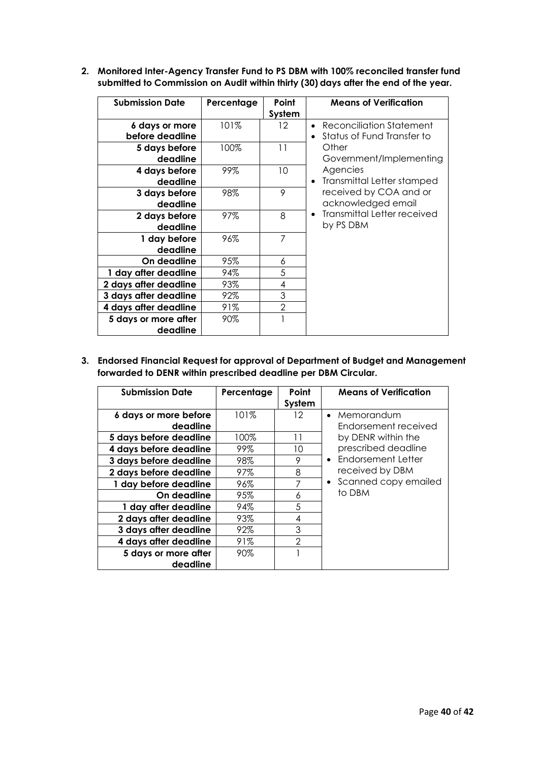**2. Monitored Inter-Agency Transfer Fund to PS DBM with 100% reconciled transfer fund submitted to Commission on Audit within thirty (30) days after the end of the year.**

| <b>Submission Date</b>            | Percentage | Point<br>System | <b>Means of Verification</b>                           |
|-----------------------------------|------------|-----------------|--------------------------------------------------------|
| 6 days or more<br>before deadline | 101%       | $12 \,$         | Reconciliation Statement<br>Status of Fund Transfer to |
| 5 days before<br>deadline         | 100%       | 11              | Other<br>Government/Implementing                       |
| 4 days before<br>deadline         | 99%        | 10              | Agencies<br>Transmittal Letter stamped                 |
| 3 days before<br>deadline         | 98%        | 9               | received by COA and or<br>acknowledged email           |
| 2 days before<br>deadline         | 97%        | 8               | <b>Transmittal Letter received</b><br>by PS DBM        |
| 1 day before<br>deadline          | 96%        | 7               |                                                        |
| On deadline                       | 95%        | 6               |                                                        |
| 1 day after deadline              | 94%        | 5               |                                                        |
| 2 days after deadline             | 93%        | 4               |                                                        |
| 3 days after deadline             | 92%        | 3               |                                                        |
| 4 days after deadline             | 91%        | $\overline{2}$  |                                                        |
| 5 days or more after<br>deadline  | 90%        |                 |                                                        |

**3. Endorsed Financial Request for approval of Department of Budget and Management forwarded to DENR within prescribed deadline per DBM Circular.**

| <b>Submission Date</b> | Percentage | Point<br>System | <b>Means of Verification</b>      |
|------------------------|------------|-----------------|-----------------------------------|
| 6 days or more before  | 101%       | 12              | • Memorandum                      |
| deadline               |            |                 | Endorsement received              |
| 5 days before deadline | 100%       | 11              | by DENR within the                |
| 4 days before deadline | 99%        | 10              | prescribed deadline               |
| 3 days before deadline | 98%        | 9               | • Endorsement Letter              |
| 2 days before deadline | 97%        | 8               | received by DBM                   |
| 1 day before deadline  | 96%        |                 | Scanned copy emailed<br>$\bullet$ |
| On deadline            | 95%        | 6               | to DBM                            |
| 1 day after deadline   | 94%        | 5               |                                   |
| 2 days after deadline  | 93%        | 4               |                                   |
| 3 days after deadline  | 92%        | 3               |                                   |
| 4 days after deadline  | 91%        | $\mathcal{P}$   |                                   |
| 5 days or more after   | 90%        |                 |                                   |
| deadline               |            |                 |                                   |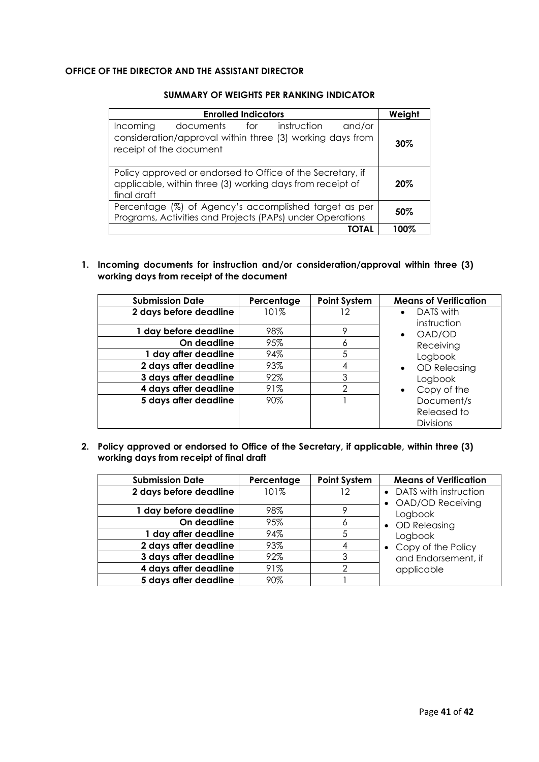#### **OFFICE OF THE DIRECTOR AND THE ASSISTANT DIRECTOR**

| <b>Enrolled Indicators</b>                                                                                                              | Weight |
|-----------------------------------------------------------------------------------------------------------------------------------------|--------|
| Incoming<br>documents for instruction<br>and/or<br>consideration/approval within three (3) working days from<br>receipt of the document | $30\%$ |
| Policy approved or endorsed to Office of the Secretary, if<br>applicable, within three (3) working days from receipt of<br>final draft  | $20\%$ |
| Percentage (%) of Agency's accomplished target as per<br>Programs, Activities and Projects (PAPs) under Operations                      | 50%    |
| ΙΟΤΑΙ                                                                                                                                   | 100%   |

#### **SUMMARY OF WEIGHTS PER RANKING INDICATOR**

**1. Incoming documents for instruction and/or consideration/approval within three (3) working days from receipt of the document**

| <b>Submission Date</b> | Percentage | <b>Point System</b> | <b>Means of Verification</b> |
|------------------------|------------|---------------------|------------------------------|
| 2 days before deadline | 101%       | 12                  | DATS with                    |
|                        |            |                     | instruction                  |
| 1 day before deadline  | 98%        | 9                   | OAD/OD<br>$\bullet$          |
| On deadline            | 95%        | 6                   | Receiving                    |
| 1 day after deadline   | 94%        | 5                   | Logbook                      |
| 2 days after deadline  | 93%        | 4                   | OD Releasing                 |
| 3 days after deadline  | 92%        | 3                   | Logbook                      |
| 4 days after deadline  | 91%        | $\mathcal{P}$       | Copy of the                  |
| 5 days after deadline  | 90%        |                     | Document/s                   |
|                        |            |                     | Released to                  |
|                        |            |                     | <b>Divisions</b>             |

**2. Policy approved or endorsed to Office of the Secretary, if applicable, within three (3) working days from receipt of final draft** 

| <b>Submission Date</b> | Percentage | <b>Point System</b> | <b>Means of Verification</b>                  |
|------------------------|------------|---------------------|-----------------------------------------------|
| 2 days before deadline | 101%       | 12                  | • DATS with instruction<br>• OAD/OD Receiving |
| 1 day before deadline  | 98%        |                     | Logbook                                       |
| On deadline            | 95%        | 6                   | • OD Releasing                                |
| 1 day after deadline   | 94%        |                     | Logbook                                       |
| 2 days after deadline  | 93%        | 4                   | • Copy of the Policy                          |
| 3 days after deadline  | 92%        |                     | and Endorsement, if                           |
| 4 days after deadline  | 91%        |                     | applicable                                    |
| 5 days after deadline  | 90%        |                     |                                               |